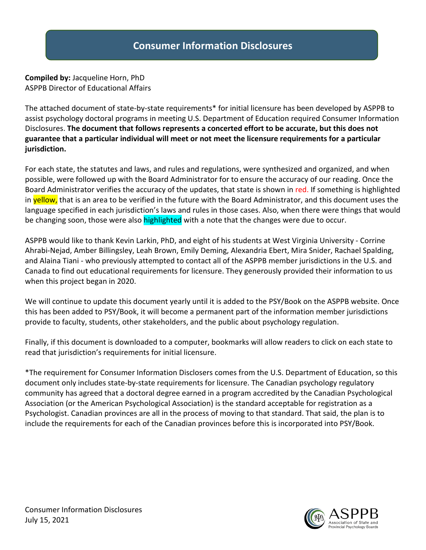**Compiled by:** Jacqueline Horn, PhD ASPPB Director of Educational Affairs

The attached document of state-by-state requirements\* for initial licensure has been developed by ASPPB to assist psychology doctoral programs in meeting U.S. Department of Education required Consumer Information Disclosures. **The document that follows represents a concerted effort to be accurate, but this does not guarantee that a particular individual will meet or not meet the licensure requirements for a particular jurisdiction.**

For each state, the statutes and laws, and rules and regulations, were synthesized and organized, and when possible, were followed up with the Board Administrator for to ensure the accuracy of our reading. Once the Board Administrator verifies the accuracy of the updates, that state is shown in red. If something is highlighted in **yellow,** that is an area to be verified in the future with the Board Administrator, and this document uses the language specified in each jurisdiction's laws and rules in those cases. Also, when there were things that would be changing soon, those were also highlighted with a note that the changes were due to occur.

ASPPB would like to thank Kevin Larkin, PhD, and eight of his students at West Virginia University - Corrine Ahrabi-Nejad, Amber Billingsley, Leah Brown, Emily Deming, Alexandria Ebert, Mira Snider, Rachael Spalding, and Alaina Tiani - who previously attempted to contact all of the ASPPB member jurisdictions in the U.S. and Canada to find out educational requirements for licensure. They generously provided their information to us when this project began in 2020.

We will continue to update this document yearly until it is added to the PSY/Book on the ASPPB website. Once this has been added to PSY/Book, it will become a permanent part of the information member jurisdictions provide to faculty, students, other stakeholders, and the public about psychology regulation.

Finally, if this document is downloaded to a computer, bookmarks will allow readers to click on each state to read that jurisdiction's requirements for initial licensure.

\*The requirement for Consumer Information Disclosers comes from the U.S. Department of Education, so this document only includes state-by-state requirements for licensure. The Canadian psychology regulatory community has agreed that a doctoral degree earned in a program accredited by the Canadian Psychological Association (or the American Psychological Association) is the standard acceptable for registration as a Psychologist. Canadian provinces are all in the process of moving to that standard. That said, the plan is to include the requirements for each of the Canadian provinces before this is incorporated into PSY/Book.

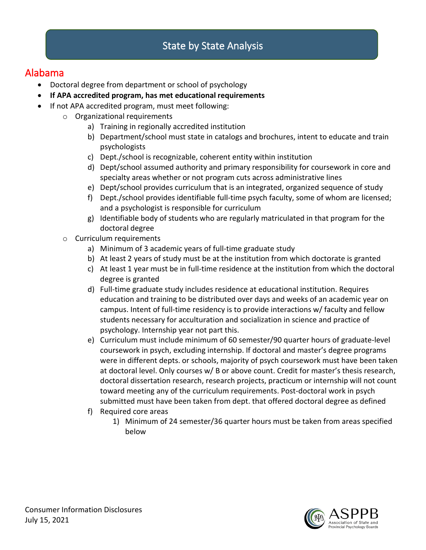### Alabama

- Doctoral degree from department or school of psychology
- **If APA accredited program, has met educational requirements**
- If not APA accredited program, must meet following:
	- o Organizational requirements
		- a) Training in regionally accredited institution
		- b) Department/school must state in catalogs and brochures, intent to educate and train psychologists
		- c) Dept./school is recognizable, coherent entity within institution
		- d) Dept/school assumed authority and primary responsibility for coursework in core and specialty areas whether or not program cuts across administrative lines
		- e) Dept/school provides curriculum that is an integrated, organized sequence of study
		- f) Dept./school provides identifiable full-time psych faculty, some of whom are licensed; and a psychologist is responsible for curriculum
		- g) Identifiable body of students who are regularly matriculated in that program for the doctoral degree
	- o Curriculum requirements
		- a) Minimum of 3 academic years of full-time graduate study
		- b) At least 2 years of study must be at the institution from which doctorate is granted
		- c) At least 1 year must be in full-time residence at the institution from which the doctoral degree is granted
		- d) Full-time graduate study includes residence at educational institution. Requires education and training to be distributed over days and weeks of an academic year on campus. Intent of full-time residency is to provide interactions w/ faculty and fellow students necessary for acculturation and socialization in science and practice of psychology. Internship year not part this.
		- e) Curriculum must include minimum of 60 semester/90 quarter hours of graduate-level coursework in psych, excluding internship. If doctoral and master's degree programs were in different depts. or schools, majority of psych coursework must have been taken at doctoral level. Only courses w/ B or above count. Credit for master's thesis research, doctoral dissertation research, research projects, practicum or internship will not count toward meeting any of the curriculum requirements. Post-doctoral work in psych submitted must have been taken from dept. that offered doctoral degree as defined
		- f) Required core areas
			- 1) Minimum of 24 semester/36 quarter hours must be taken from areas specified below

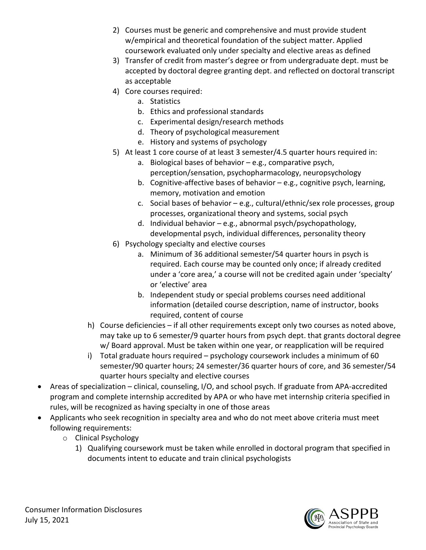- 2) Courses must be generic and comprehensive and must provide student w/empirical and theoretical foundation of the subject matter. Applied coursework evaluated only under specialty and elective areas as defined
- 3) Transfer of credit from master's degree or from undergraduate dept. must be accepted by doctoral degree granting dept. and reflected on doctoral transcript as acceptable
- 4) Core courses required:
	- a. Statistics
	- b. Ethics and professional standards
	- c. Experimental design/research methods
	- d. Theory of psychological measurement
	- e. History and systems of psychology
- 5) At least 1 core course of at least 3 semester/4.5 quarter hours required in:
	- a. Biological bases of behavior e.g., comparative psych, perception/sensation, psychopharmacology, neuropsychology
	- b. Cognitive-affective bases of behavior e.g., cognitive psych, learning, memory, motivation and emotion
	- c. Social bases of behavior e.g., cultural/ethnic/sex role processes, group processes, organizational theory and systems, social psych
	- d. Individual behavior e.g., abnormal psych/psychopathology, developmental psych, individual differences, personality theory
- 6) Psychology specialty and elective courses
	- a. Minimum of 36 additional semester/54 quarter hours in psych is required. Each course may be counted only once; if already credited under a 'core area,' a course will not be credited again under 'specialty' or 'elective' area
	- b. Independent study or special problems courses need additional information (detailed course description, name of instructor, books required, content of course
- h) Course deficiencies if all other requirements except only two courses as noted above, may take up to 6 semester/9 quarter hours from psych dept. that grants doctoral degree w/ Board approval. Must be taken within one year, or reapplication will be required
- i) Total graduate hours required psychology coursework includes a minimum of 60 semester/90 quarter hours; 24 semester/36 quarter hours of core, and 36 semester/54 quarter hours specialty and elective courses
- Areas of specialization clinical, counseling, I/O, and school psych. If graduate from APA-accredited program and complete internship accredited by APA or who have met internship criteria specified in rules, will be recognized as having specialty in one of those areas
- Applicants who seek recognition in specialty area and who do not meet above criteria must meet following requirements:
	- o Clinical Psychology
		- 1) Qualifying coursework must be taken while enrolled in doctoral program that specified in documents intent to educate and train clinical psychologists

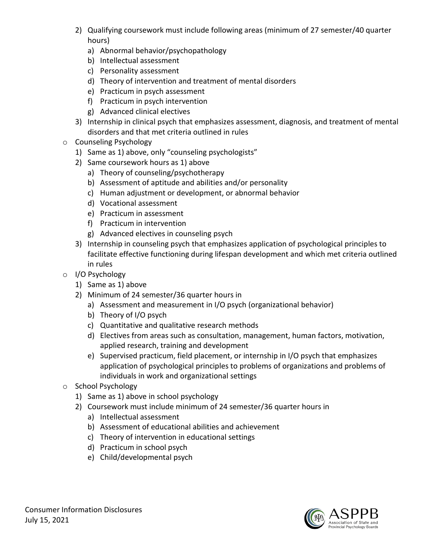- 2) Qualifying coursework must include following areas (minimum of 27 semester/40 quarter hours)
	- a) Abnormal behavior/psychopathology
	- b) Intellectual assessment
	- c) Personality assessment
	- d) Theory of intervention and treatment of mental disorders
	- e) Practicum in psych assessment
	- f) Practicum in psych intervention
	- g) Advanced clinical electives
- 3) Internship in clinical psych that emphasizes assessment, diagnosis, and treatment of mental disorders and that met criteria outlined in rules
- o Counseling Psychology
	- 1) Same as 1) above, only "counseling psychologists"
	- 2) Same coursework hours as 1) above
		- a) Theory of counseling/psychotherapy
		- b) Assessment of aptitude and abilities and/or personality
		- c) Human adjustment or development, or abnormal behavior
		- d) Vocational assessment
		- e) Practicum in assessment
		- f) Practicum in intervention
		- g) Advanced electives in counseling psych
	- 3) Internship in counseling psych that emphasizes application of psychological principles to facilitate effective functioning during lifespan development and which met criteria outlined in rules
- o I/O Psychology
	- 1) Same as 1) above
	- 2) Minimum of 24 semester/36 quarter hours in
		- a) Assessment and measurement in I/O psych (organizational behavior)
		- b) Theory of I/O psych
		- c) Quantitative and qualitative research methods
		- d) Electives from areas such as consultation, management, human factors, motivation, applied research, training and development
		- e) Supervised practicum, field placement, or internship in I/O psych that emphasizes application of psychological principles to problems of organizations and problems of individuals in work and organizational settings
- o School Psychology
	- 1) Same as 1) above in school psychology
	- 2) Coursework must include minimum of 24 semester/36 quarter hours in
		- a) Intellectual assessment
		- b) Assessment of educational abilities and achievement
		- c) Theory of intervention in educational settings
		- d) Practicum in school psych
		- e) Child/developmental psych

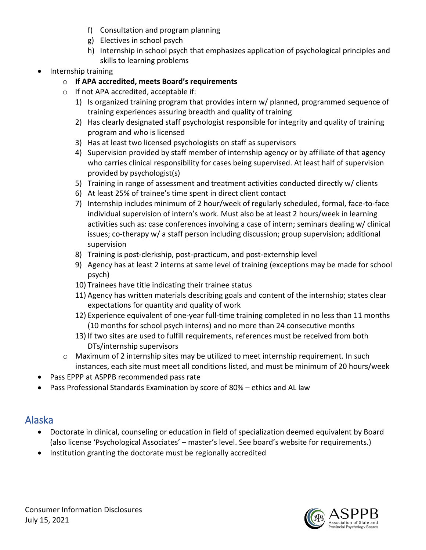- f) Consultation and program planning
- g) Electives in school psych
- h) Internship in school psych that emphasizes application of psychological principles and skills to learning problems
- Internship training
	- o **If APA accredited, meets Board's requirements**
	- o If not APA accredited, acceptable if:
		- 1) Is organized training program that provides intern w/ planned, programmed sequence of training experiences assuring breadth and quality of training
		- 2) Has clearly designated staff psychologist responsible for integrity and quality of training program and who is licensed
		- 3) Has at least two licensed psychologists on staff as supervisors
		- 4) Supervision provided by staff member of internship agency or by affiliate of that agency who carries clinical responsibility for cases being supervised. At least half of supervision provided by psychologist(s)
		- 5) Training in range of assessment and treatment activities conducted directly w/ clients
		- 6) At least 25% of trainee's time spent in direct client contact
		- 7) Internship includes minimum of 2 hour/week of regularly scheduled, formal, face-to-face individual supervision of intern's work. Must also be at least 2 hours/week in learning activities such as: case conferences involving a case of intern; seminars dealing w/ clinical issues; co-therapy w/ a staff person including discussion; group supervision; additional supervision
		- 8) Training is post-clerkship, post-practicum, and post-externship level
		- 9) Agency has at least 2 interns at same level of training (exceptions may be made for school psych)
		- 10) Trainees have title indicating their trainee status
		- 11) Agency has written materials describing goals and content of the internship; states clear expectations for quantity and quality of work
		- 12) Experience equivalent of one-year full-time training completed in no less than 11 months (10 months for school psych interns) and no more than 24 consecutive months
		- 13) If two sites are used to fulfill requirements, references must be received from both DTs/internship supervisors
	- o Maximum of 2 internship sites may be utilized to meet internship requirement. In such instances, each site must meet all conditions listed, and must be minimum of 20 hours/week
- Pass EPPP at ASPPB recommended pass rate
- Pass Professional Standards Examination by score of 80% ethics and AL law

# Alaska

- Doctorate in clinical, counseling or education in field of specialization deemed equivalent by Board (also license 'Psychological Associates' – master's level. See board's website for requirements.)
- Institution granting the doctorate must be regionally accredited

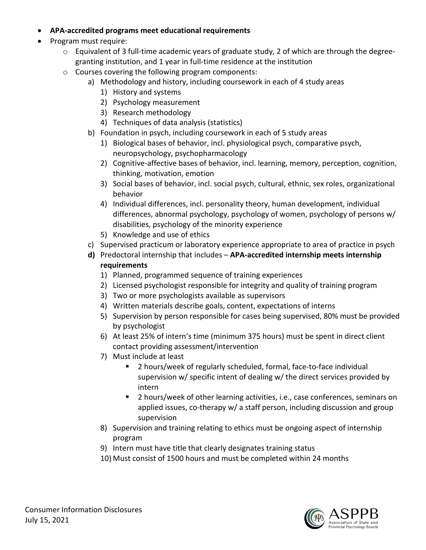- **APA-accredited programs meet educational requirements**
- Program must require:
	- o Equivalent of 3 full-time academic years of graduate study, 2 of which are through the degreegranting institution, and 1 year in full-time residence at the institution
	- o Courses covering the following program components:
		- a) Methodology and history, including coursework in each of 4 study areas
			- 1) History and systems
			- 2) Psychology measurement
			- 3) Research methodology
			- 4) Techniques of data analysis (statistics)
		- b) Foundation in psych, including coursework in each of 5 study areas
			- 1) Biological bases of behavior, incl. physiological psych, comparative psych, neuropsychology, psychopharmacology
			- 2) Cognitive-affective bases of behavior, incl. learning, memory, perception, cognition, thinking, motivation, emotion
			- 3) Social bases of behavior, incl. social psych, cultural, ethnic, sex roles, organizational behavior
			- 4) Individual differences, incl. personality theory, human development, individual differences, abnormal psychology, psychology of women, psychology of persons w/ disabilities, psychology of the minority experience
			- 5) Knowledge and use of ethics
		- c) Supervised practicum or laboratory experience appropriate to area of practice in psych
		- **d)** Predoctoral internship that includes **APA-accredited internship meets internship requirements**
			- 1) Planned, programmed sequence of training experiences
			- 2) Licensed psychologist responsible for integrity and quality of training program
			- 3) Two or more psychologists available as supervisors
			- 4) Written materials describe goals, content, expectations of interns
			- 5) Supervision by person responsible for cases being supervised, 80% must be provided by psychologist
			- 6) At least 25% of intern's time (minimum 375 hours) must be spent in direct client contact providing assessment/intervention
			- 7) Must include at least
				- 2 hours/week of regularly scheduled, formal, face-to-face individual supervision w/ specific intent of dealing w/ the direct services provided by intern
				- 2 hours/week of other learning activities, i.e., case conferences, seminars on applied issues, co-therapy w/ a staff person, including discussion and group supervision
			- 8) Supervision and training relating to ethics must be ongoing aspect of internship program
			- 9) Intern must have title that clearly designates training status
			- 10) Must consist of 1500 hours and must be completed within 24 months

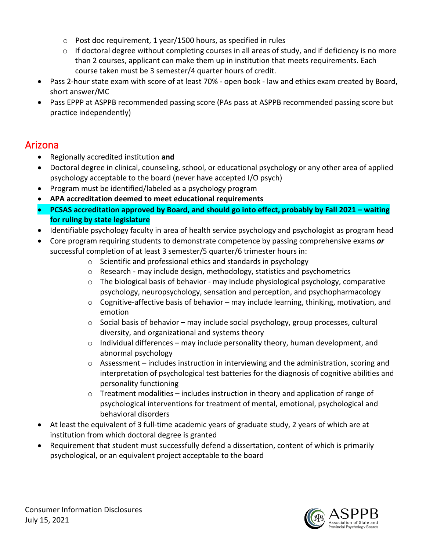- o Post doc requirement, 1 year/1500 hours, as specified in rules
- $\circ$  If doctoral degree without completing courses in all areas of study, and if deficiency is no more than 2 courses, applicant can make them up in institution that meets requirements. Each course taken must be 3 semester/4 quarter hours of credit.
- Pass 2-hour state exam with score of at least 70% open book law and ethics exam created by Board, short answer/MC
- Pass EPPP at ASPPB recommended passing score (PAs pass at ASPPB recommended passing score but practice independently)

### Arizona

- Regionally accredited institution **and**
- Doctoral degree in clinical, counseling, school, or educational psychology or any other area of applied psychology acceptable to the board (never have accepted I/O psych)
- Program must be identified/labeled as a psychology program
- **APA accreditation deemed to meet educational requirements**
- **PCSAS accreditation approved by Board, and should go into effect, probably by Fall 2021 – waiting for ruling by state legislature**
- Identifiable psychology faculty in area of health service psychology and psychologist as program head
- Core program requiring students to demonstrate competence by passing comprehensive exams *or*  successful completion of at least 3 semester/5 quarter/6 trimester hours in:
	- o Scientific and professional ethics and standards in psychology
	- $\circ$  Research may include design, methodology, statistics and psychometrics
	- $\circ$  The biological basis of behavior may include physiological psychology, comparative psychology, neuropsychology, sensation and perception, and psychopharmacology
	- $\circ$  Cognitive-affective basis of behavior may include learning, thinking, motivation, and emotion
	- o Social basis of behavior may include social psychology, group processes, cultural diversity, and organizational and systems theory
	- $\circ$  Individual differences may include personality theory, human development, and abnormal psychology
	- $\circ$  Assessment includes instruction in interviewing and the administration, scoring and interpretation of psychological test batteries for the diagnosis of cognitive abilities and personality functioning
	- $\circ$  Treatment modalities includes instruction in theory and application of range of psychological interventions for treatment of mental, emotional, psychological and behavioral disorders
- At least the equivalent of 3 full-time academic years of graduate study, 2 years of which are at institution from which doctoral degree is granted
- Requirement that student must successfully defend a dissertation, content of which is primarily psychological, or an equivalent project acceptable to the board

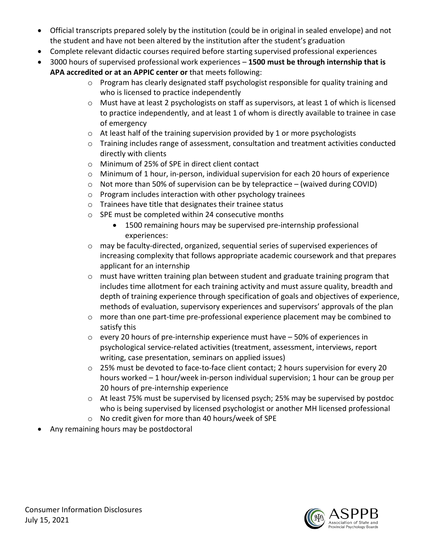- Official transcripts prepared solely by the institution (could be in original in sealed envelope) and not the student and have not been altered by the institution after the student's graduation
- Complete relevant didactic courses required before starting supervised professional experiences
- 3000 hours of supervised professional work experiences **1500 must be through internship that is APA accredited or at an APPIC center or** that meets following:
	- o Program has clearly designated staff psychologist responsible for quality training and who is licensed to practice independently
	- o Must have at least 2 psychologists on staff as supervisors, at least 1 of which is licensed to practice independently, and at least 1 of whom is directly available to trainee in case of emergency
	- o At least half of the training supervision provided by 1 or more psychologists
	- o Training includes range of assessment, consultation and treatment activities conducted directly with clients
	- o Minimum of 25% of SPE in direct client contact
	- o Minimum of 1 hour, in-person, individual supervision for each 20 hours of experience
	- $\circ$  Not more than 50% of supervision can be by telepractice (waived during COVID)
	- o Program includes interaction with other psychology trainees
	- o Trainees have title that designates their trainee status
	- o SPE must be completed within 24 consecutive months
		- 1500 remaining hours may be supervised pre-internship professional experiences:
	- $\circ$  may be faculty-directed, organized, sequential series of supervised experiences of increasing complexity that follows appropriate academic coursework and that prepares applicant for an internship
	- o must have written training plan between student and graduate training program that includes time allotment for each training activity and must assure quality, breadth and depth of training experience through specification of goals and objectives of experience, methods of evaluation, supervisory experiences and supervisors' approvals of the plan
	- o more than one part-time pre-professional experience placement may be combined to satisfy this
	- $\circ$  every 20 hours of pre-internship experience must have  $-50\%$  of experiences in psychological service-related activities (treatment, assessment, interviews, report writing, case presentation, seminars on applied issues)
	- $\circ$  25% must be devoted to face-to-face client contact; 2 hours supervision for every 20 hours worked – 1 hour/week in-person individual supervision; 1 hour can be group per 20 hours of pre-internship experience
	- o At least 75% must be supervised by licensed psych; 25% may be supervised by postdoc who is being supervised by licensed psychologist or another MH licensed professional
	- o No credit given for more than 40 hours/week of SPE
- Any remaining hours may be postdoctoral

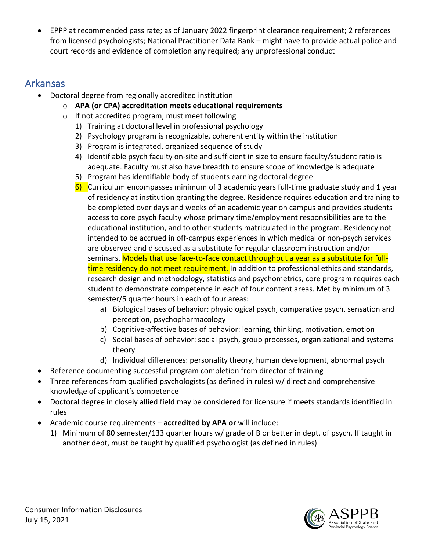• EPPP at recommended pass rate; as of January 2022 fingerprint clearance requirement; 2 references from licensed psychologists; National Practitioner Data Bank – might have to provide actual police and court records and evidence of completion any required; any unprofessional conduct

### Arkansas

- Doctoral degree from regionally accredited institution
	- o **APA (or CPA) accreditation meets educational requirements**
	- o If not accredited program, must meet following
		- 1) Training at doctoral level in professional psychology
		- 2) Psychology program is recognizable, coherent entity within the institution
		- 3) Program is integrated, organized sequence of study
		- 4) Identifiable psych faculty on-site and sufficient in size to ensure faculty/student ratio is adequate. Faculty must also have breadth to ensure scope of knowledge is adequate
		- 5) Program has identifiable body of students earning doctoral degree
		- 6) Curriculum encompasses minimum of 3 academic years full-time graduate study and 1 year of residency at institution granting the degree. Residence requires education and training to be completed over days and weeks of an academic year on campus and provides students access to core psych faculty whose primary time/employment responsibilities are to the educational institution, and to other students matriculated in the program. Residency not intended to be accrued in off-campus experiences in which medical or non-psych services are observed and discussed as a substitute for regular classroom instruction and/or seminars. Models that use face-to-face contact throughout a year as a substitute for fulltime residency do not meet requirement. In addition to professional ethics and standards, research design and methodology, statistics and psychometrics, core program requires each student to demonstrate competence in each of four content areas. Met by minimum of 3 semester/5 quarter hours in each of four areas:
			- a) Biological bases of behavior: physiological psych, comparative psych, sensation and perception, psychopharmacology
			- b) Cognitive-affective bases of behavior: learning, thinking, motivation, emotion
			- c) Social bases of behavior: social psych, group processes, organizational and systems theory
			- d) Individual differences: personality theory, human development, abnormal psych
- Reference documenting successful program completion from director of training
- Three references from qualified psychologists (as defined in rules) w/ direct and comprehensive knowledge of applicant's competence
- Doctoral degree in closely allied field may be considered for licensure if meets standards identified in rules
- Academic course requirements **accredited by APA or** will include:
	- 1) Minimum of 80 semester/133 quarter hours w/ grade of B or better in dept. of psych. If taught in another dept, must be taught by qualified psychologist (as defined in rules)

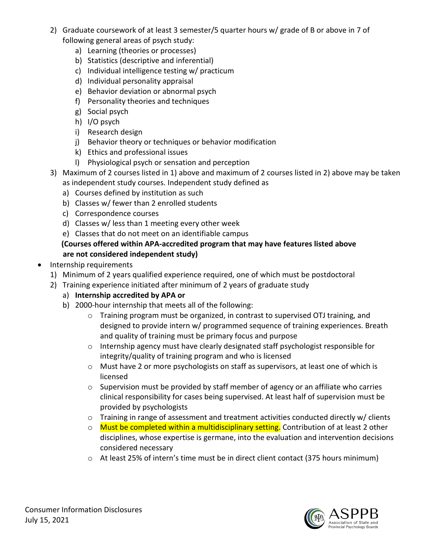- 2) Graduate coursework of at least 3 semester/5 quarter hours w/ grade of B or above in 7 of following general areas of psych study:
	- a) Learning (theories or processes)
	- b) Statistics (descriptive and inferential)
	- c) Individual intelligence testing w/ practicum
	- d) Individual personality appraisal
	- e) Behavior deviation or abnormal psych
	- f) Personality theories and techniques
	- g) Social psych
	- h) I/O psych
	- i) Research design
	- j) Behavior theory or techniques or behavior modification
	- k) Ethics and professional issues
	- l) Physiological psych or sensation and perception
- 3) Maximum of 2 courses listed in 1) above and maximum of 2 courses listed in 2) above may be taken as independent study courses. Independent study defined as
	- a) Courses defined by institution as such
	- b) Classes w/ fewer than 2 enrolled students
	- c) Correspondence courses
	- d) Classes w/ less than 1 meeting every other week
	- e) Classes that do not meet on an identifiable campus

#### **(Courses offered within APA-accredited program that may have features listed above are not considered independent study)**

- Internship requirements
	- 1) Minimum of 2 years qualified experience required, one of which must be postdoctoral
	- 2) Training experience initiated after minimum of 2 years of graduate study
		- a) **Internship accredited by APA or**
		- b) 2000-hour internship that meets all of the following:
			- o Training program must be organized, in contrast to supervised OTJ training, and designed to provide intern w/ programmed sequence of training experiences. Breath and quality of training must be primary focus and purpose
			- o Internship agency must have clearly designated staff psychologist responsible for integrity/quality of training program and who is licensed
			- o Must have 2 or more psychologists on staff as supervisors, at least one of which is licensed
			- o Supervision must be provided by staff member of agency or an affiliate who carries clinical responsibility for cases being supervised. At least half of supervision must be provided by psychologists
			- $\circ$  Training in range of assessment and treatment activities conducted directly w/ clients
			- o Must be completed within a multidisciplinary setting. Contribution of at least 2 other disciplines, whose expertise is germane, into the evaluation and intervention decisions considered necessary
			- o At least 25% of intern's time must be in direct client contact (375 hours minimum)

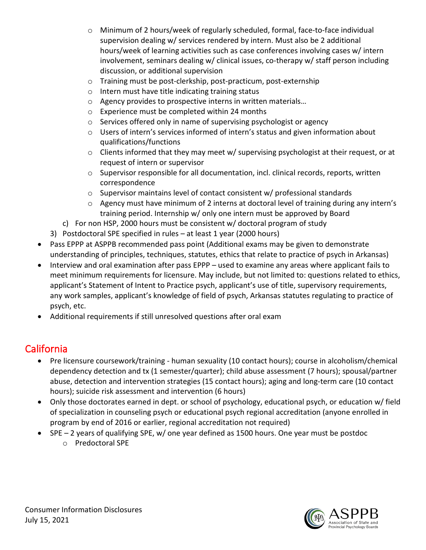- o Minimum of 2 hours/week of regularly scheduled, formal, face-to-face individual supervision dealing w/ services rendered by intern. Must also be 2 additional hours/week of learning activities such as case conferences involving cases w/ intern involvement, seminars dealing w/ clinical issues, co-therapy w/ staff person including discussion, or additional supervision
- o Training must be post-clerkship, post-practicum, post-externship
- o Intern must have title indicating training status
- o Agency provides to prospective interns in written materials…
- o Experience must be completed within 24 months
- o Services offered only in name of supervising psychologist or agency
- o Users of intern's services informed of intern's status and given information about qualifications/functions
- o Clients informed that they may meet w/ supervising psychologist at their request, or at request of intern or supervisor
- $\circ$  Supervisor responsible for all documentation, incl. clinical records, reports, written correspondence
- o Supervisor maintains level of contact consistent w/ professional standards
- $\circ$  Agency must have minimum of 2 interns at doctoral level of training during any intern's training period. Internship w/ only one intern must be approved by Board
- c) For non HSP, 2000 hours must be consistent w/ doctoral program of study
- 3) Postdoctoral SPE specified in rules at least 1 year (2000 hours)
- Pass EPPP at ASPPB recommended pass point (Additional exams may be given to demonstrate understanding of principles, techniques, statutes, ethics that relate to practice of psych in Arkansas)
- Interview and oral examination after pass EPPP used to examine any areas where applicant fails to meet minimum requirements for licensure. May include, but not limited to: questions related to ethics, applicant's Statement of Intent to Practice psych, applicant's use of title, supervisory requirements, any work samples, applicant's knowledge of field of psych, Arkansas statutes regulating to practice of psych, etc.
- Additional requirements if still unresolved questions after oral exam

## California

- Pre licensure coursework/training human sexuality (10 contact hours); course in alcoholism/chemical dependency detection and tx (1 semester/quarter); child abuse assessment (7 hours); spousal/partner abuse, detection and intervention strategies (15 contact hours); aging and long-term care (10 contact hours); suicide risk assessment and intervention (6 hours)
- Only those doctorates earned in dept. or school of psychology, educational psych, or education w/ field of specialization in counseling psych or educational psych regional accreditation (anyone enrolled in program by end of 2016 or earlier, regional accreditation not required)
- SPE 2 years of qualifying SPE, w/ one year defined as 1500 hours. One year must be postdoc
	- o Predoctoral SPE

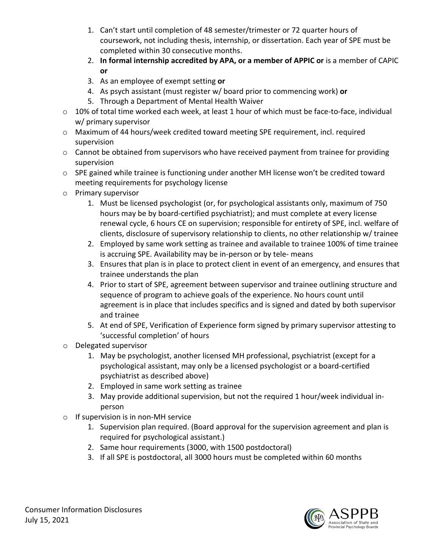- 1. Can't start until completion of 48 semester/trimester or 72 quarter hours of coursework, not including thesis, internship, or dissertation. Each year of SPE must be completed within 30 consecutive months.
- 2. **In formal internship accredited by APA, or a member of APPIC or** is a member of CAPIC **or**
- 3. As an employee of exempt setting **or**
- 4. As psych assistant (must register w/ board prior to commencing work) **or**
- 5. Through a Department of Mental Health Waiver
- $\circ$  10% of total time worked each week, at least 1 hour of which must be face-to-face, individual w/ primary supervisor
- o Maximum of 44 hours/week credited toward meeting SPE requirement, incl. required supervision
- o Cannot be obtained from supervisors who have received payment from trainee for providing supervision
- o SPE gained while trainee is functioning under another MH license won't be credited toward meeting requirements for psychology license
- o Primary supervisor
	- 1. Must be licensed psychologist (or, for psychological assistants only, maximum of 750 hours may be by board-certified psychiatrist); and must complete at every license renewal cycle, 6 hours CE on supervision; responsible for entirety of SPE, incl. welfare of clients, disclosure of supervisory relationship to clients, no other relationship w/ trainee
	- 2. Employed by same work setting as trainee and available to trainee 100% of time trainee is accruing SPE. Availability may be in-person or by tele- means
	- 3. Ensures that plan is in place to protect client in event of an emergency, and ensures that trainee understands the plan
	- 4. Prior to start of SPE, agreement between supervisor and trainee outlining structure and sequence of program to achieve goals of the experience. No hours count until agreement is in place that includes specifics and is signed and dated by both supervisor and trainee
	- 5. At end of SPE, Verification of Experience form signed by primary supervisor attesting to 'successful completion' of hours
- o Delegated supervisor
	- 1. May be psychologist, another licensed MH professional, psychiatrist (except for a psychological assistant, may only be a licensed psychologist or a board-certified psychiatrist as described above)
	- 2. Employed in same work setting as trainee
	- 3. May provide additional supervision, but not the required 1 hour/week individual inperson
- o If supervision is in non-MH service
	- 1. Supervision plan required. (Board approval for the supervision agreement and plan is required for psychological assistant.)
	- 2. Same hour requirements (3000, with 1500 postdoctoral)
	- 3. If all SPE is postdoctoral, all 3000 hours must be completed within 60 months

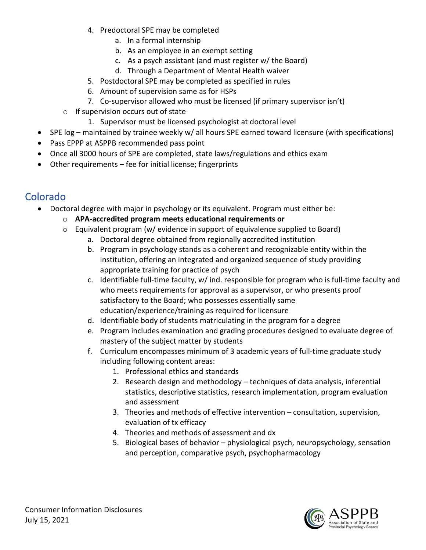- 4. Predoctoral SPE may be completed
	- a. In a formal internship
	- b. As an employee in an exempt setting
	- c. As a psych assistant (and must register w/ the Board)
	- d. Through a Department of Mental Health waiver
- 5. Postdoctoral SPE may be completed as specified in rules
- 6. Amount of supervision same as for HSPs
- 7. Co-supervisor allowed who must be licensed (if primary supervisor isn't)
- o If supervision occurs out of state
	- 1. Supervisor must be licensed psychologist at doctoral level
- SPE log maintained by trainee weekly w/ all hours SPE earned toward licensure (with specifications)
- Pass EPPP at ASPPB recommended pass point
- Once all 3000 hours of SPE are completed, state laws/regulations and ethics exam
- Other requirements fee for initial license; fingerprints

### Colorado

- Doctoral degree with major in psychology or its equivalent. Program must either be:
	- o **APA-accredited program meets educational requirements or**
	- o Equivalent program (w/ evidence in support of equivalence supplied to Board)
		- a. Doctoral degree obtained from regionally accredited institution
		- b. Program in psychology stands as a coherent and recognizable entity within the institution, offering an integrated and organized sequence of study providing appropriate training for practice of psych
		- c. Identifiable full-time faculty, w/ ind. responsible for program who is full-time faculty and who meets requirements for approval as a supervisor, or who presents proof satisfactory to the Board; who possesses essentially same education/experience/training as required for licensure
		- d. Identifiable body of students matriculating in the program for a degree
		- e. Program includes examination and grading procedures designed to evaluate degree of mastery of the subject matter by students
		- f. Curriculum encompasses minimum of 3 academic years of full-time graduate study including following content areas:
			- 1. Professional ethics and standards
			- 2. Research design and methodology techniques of data analysis, inferential statistics, descriptive statistics, research implementation, program evaluation and assessment
			- 3. Theories and methods of effective intervention consultation, supervision, evaluation of tx efficacy
			- 4. Theories and methods of assessment and dx
			- 5. Biological bases of behavior physiological psych, neuropsychology, sensation and perception, comparative psych, psychopharmacology

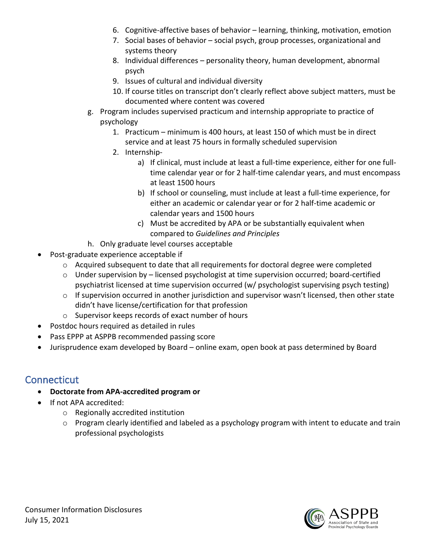- 6. Cognitive-affective bases of behavior learning, thinking, motivation, emotion
- 7. Social bases of behavior social psych, group processes, organizational and systems theory
- 8. Individual differences personality theory, human development, abnormal psych
- 9. Issues of cultural and individual diversity
- 10. If course titles on transcript don't clearly reflect above subject matters, must be documented where content was covered
- g. Program includes supervised practicum and internship appropriate to practice of psychology
	- 1. Practicum minimum is 400 hours, at least 150 of which must be in direct service and at least 75 hours in formally scheduled supervision
	- 2. Internship
		- a) If clinical, must include at least a full-time experience, either for one fulltime calendar year or for 2 half-time calendar years, and must encompass at least 1500 hours
		- b) If school or counseling, must include at least a full-time experience, for either an academic or calendar year or for 2 half-time academic or calendar years and 1500 hours
		- c) Must be accredited by APA or be substantially equivalent when compared to *Guidelines and Principles*
- h. Only graduate level courses acceptable
- Post-graduate experience acceptable if
	- o Acquired subsequent to date that all requirements for doctoral degree were completed
	- o Under supervision by licensed psychologist at time supervision occurred; board-certified psychiatrist licensed at time supervision occurred (w/ psychologist supervising psych testing)
	- $\circ$  If supervision occurred in another jurisdiction and supervisor wasn't licensed, then other state didn't have license/certification for that profession
	- o Supervisor keeps records of exact number of hours
- Postdoc hours required as detailed in rules
- Pass EPPP at ASPPB recommended passing score
- Jurisprudence exam developed by Board online exam, open book at pass determined by Board

### **Connecticut**

- **Doctorate from APA-accredited program or**
- If not APA accredited:
	- o Regionally accredited institution
	- $\circ$  Program clearly identified and labeled as a psychology program with intent to educate and train professional psychologists

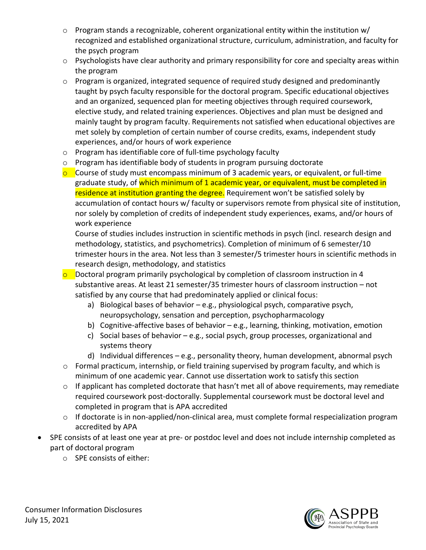- $\circ$  Program stands a recognizable, coherent organizational entity within the institution w/ recognized and established organizational structure, curriculum, administration, and faculty for the psych program
- o Psychologists have clear authority and primary responsibility for core and specialty areas within the program
- $\circ$  Program is organized, integrated sequence of required study designed and predominantly taught by psych faculty responsible for the doctoral program. Specific educational objectives and an organized, sequenced plan for meeting objectives through required coursework, elective study, and related training experiences. Objectives and plan must be designed and mainly taught by program faculty. Requirements not satisfied when educational objectives are met solely by completion of certain number of course credits, exams, independent study experiences, and/or hours of work experience
- o Program has identifiable core of full-time psychology faculty
- o Program has identifiable body of students in program pursuing doctorate
- $\circ$  Course of study must encompass minimum of 3 academic years, or equivalent, or full-time graduate study, of which minimum of 1 academic year, or equivalent, must be completed in residence at institution granting the degree. Requirement won't be satisfied solely by accumulation of contact hours w/ faculty or supervisors remote from physical site of institution, nor solely by completion of credits of independent study experiences, exams, and/or hours of work experience

Course of studies includes instruction in scientific methods in psych (incl. research design and methodology, statistics, and psychometrics). Completion of minimum of 6 semester/10 trimester hours in the area. Not less than 3 semester/5 trimester hours in scientific methods in research design, methodology, and statistics

o Doctoral program primarily psychological by completion of classroom instruction in 4 substantive areas. At least 21 semester/35 trimester hours of classroom instruction – not satisfied by any course that had predominately applied or clinical focus:

- a) Biological bases of behavior e.g., physiological psych, comparative psych, neuropsychology, sensation and perception, psychopharmacology
- b) Cognitive-affective bases of behavior e.g., learning, thinking, motivation, emotion
- c) Social bases of behavior e.g., social psych, group processes, organizational and systems theory
- d) Individual differences e.g., personality theory, human development, abnormal psych
- o Formal practicum, internship, or field training supervised by program faculty, and which is minimum of one academic year. Cannot use dissertation work to satisfy this section
- $\circ$  If applicant has completed doctorate that hasn't met all of above requirements, may remediate required coursework post-doctorally. Supplemental coursework must be doctoral level and completed in program that is APA accredited
- o If doctorate is in non-applied/non-clinical area, must complete formal respecialization program accredited by APA
- SPE consists of at least one year at pre- or postdoc level and does not include internship completed as part of doctoral program
	- o SPE consists of either:

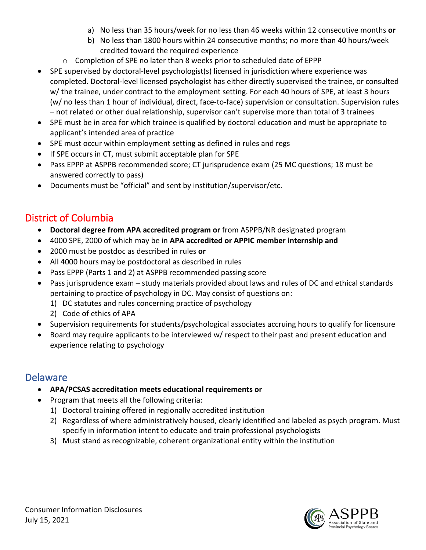- a) No less than 35 hours/week for no less than 46 weeks within 12 consecutive months **or**
- b) No less than 1800 hours within 24 consecutive months; no more than 40 hours/week credited toward the required experience
- o Completion of SPE no later than 8 weeks prior to scheduled date of EPPP
- SPE supervised by doctoral-level psychologist(s) licensed in jurisdiction where experience was completed. Doctoral-level licensed psychologist has either directly supervised the trainee, or consulted w/ the trainee, under contract to the employment setting. For each 40 hours of SPE, at least 3 hours (w/ no less than 1 hour of individual, direct, face-to-face) supervision or consultation. Supervision rules – not related or other dual relationship, supervisor can't supervise more than total of 3 trainees
- SPE must be in area for which trainee is qualified by doctoral education and must be appropriate to applicant's intended area of practice
- SPE must occur within employment setting as defined in rules and regs
- If SPE occurs in CT, must submit acceptable plan for SPE
- Pass EPPP at ASPPB recommended score; CT jurisprudence exam (25 MC questions; 18 must be answered correctly to pass)
- Documents must be "official" and sent by institution/supervisor/etc.

### District of Columbia

- **Doctoral degree from APA accredited program or** from ASPPB/NR designated program
- 4000 SPE, 2000 of which may be in **APA accredited or APPIC member internship and**
- 2000 must be postdoc as described in rules **or**
- All 4000 hours may be postdoctoral as described in rules
- Pass EPPP (Parts 1 and 2) at ASPPB recommended passing score
- Pass jurisprudence exam study materials provided about laws and rules of DC and ethical standards pertaining to practice of psychology in DC. May consist of questions on:
	- 1) DC statutes and rules concerning practice of psychology
	- 2) Code of ethics of APA
- Supervision requirements for students/psychological associates accruing hours to qualify for licensure
- Board may require applicants to be interviewed w/ respect to their past and present education and experience relating to psychology

#### Delaware

- **APA/PCSAS accreditation meets educational requirements or**
- Program that meets all the following criteria:
	- 1) Doctoral training offered in regionally accredited institution
	- 2) Regardless of where administratively housed, clearly identified and labeled as psych program. Must specify in information intent to educate and train professional psychologists
	- 3) Must stand as recognizable, coherent organizational entity within the institution

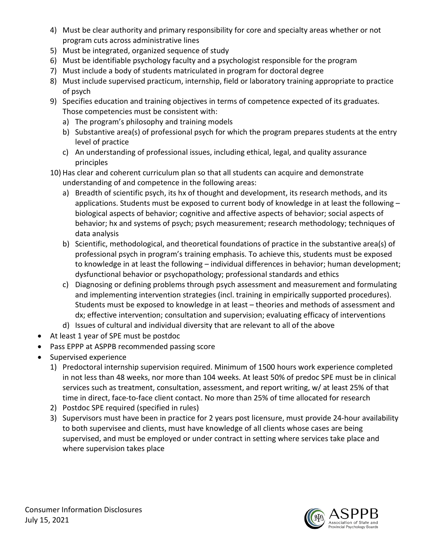- 4) Must be clear authority and primary responsibility for core and specialty areas whether or not program cuts across administrative lines
- 5) Must be integrated, organized sequence of study
- 6) Must be identifiable psychology faculty and a psychologist responsible for the program
- 7) Must include a body of students matriculated in program for doctoral degree
- 8) Must include supervised practicum, internship, field or laboratory training appropriate to practice of psych
- 9) Specifies education and training objectives in terms of competence expected of its graduates. Those competencies must be consistent with:
	- a) The program's philosophy and training models
	- b) Substantive area(s) of professional psych for which the program prepares students at the entry level of practice
	- c) An understanding of professional issues, including ethical, legal, and quality assurance principles
- 10) Has clear and coherent curriculum plan so that all students can acquire and demonstrate understanding of and competence in the following areas:
	- a) Breadth of scientific psych, its hx of thought and development, its research methods, and its applications. Students must be exposed to current body of knowledge in at least the following – biological aspects of behavior; cognitive and affective aspects of behavior; social aspects of behavior; hx and systems of psych; psych measurement; research methodology; techniques of data analysis
	- b) Scientific, methodological, and theoretical foundations of practice in the substantive area(s) of professional psych in program's training emphasis. To achieve this, students must be exposed to knowledge in at least the following – individual differences in behavior; human development; dysfunctional behavior or psychopathology; professional standards and ethics
	- c) Diagnosing or defining problems through psych assessment and measurement and formulating and implementing intervention strategies (incl. training in empirically supported procedures). Students must be exposed to knowledge in at least – theories and methods of assessment and dx; effective intervention; consultation and supervision; evaluating efficacy of interventions
	- d) Issues of cultural and individual diversity that are relevant to all of the above
- At least 1 year of SPE must be postdoc
- Pass EPPP at ASPPB recommended passing score
- Supervised experience
	- 1) Predoctoral internship supervision required. Minimum of 1500 hours work experience completed in not less than 48 weeks, nor more than 104 weeks. At least 50% of predoc SPE must be in clinical services such as treatment, consultation, assessment, and report writing, w/ at least 25% of that time in direct, face-to-face client contact. No more than 25% of time allocated for research
	- 2) Postdoc SPE required (specified in rules)
	- 3) Supervisors must have been in practice for 2 years post licensure, must provide 24-hour availability to both supervisee and clients, must have knowledge of all clients whose cases are being supervised, and must be employed or under contract in setting where services take place and where supervision takes place

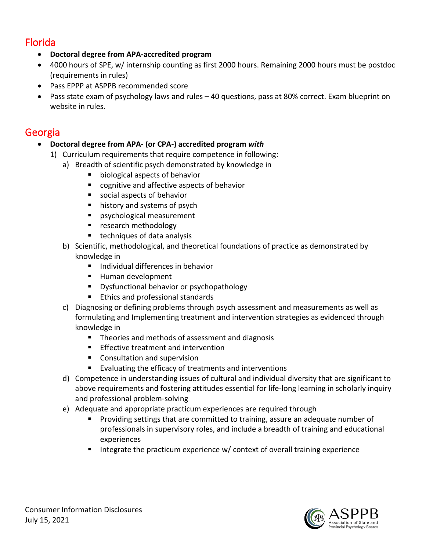### Florida

- **Doctoral degree from APA-accredited program**
- 4000 hours of SPE, w/ internship counting as first 2000 hours. Remaining 2000 hours must be postdoc (requirements in rules)
- Pass EPPP at ASPPB recommended score
- Pass state exam of psychology laws and rules 40 questions, pass at 80% correct. Exam blueprint on website in rules.

### Georgia

- **Doctoral degree from APA- (or CPA-) accredited program** *with*
	- 1) Curriculum requirements that require competence in following:
		- a) Breadth of scientific psych demonstrated by knowledge in
			- **biological aspects of behavior**
			- cognitive and affective aspects of behavior
			- social aspects of behavior
			- **history and systems of psych**
			- psychological measurement
			- **F** research methodology
			- techniques of data analysis
		- b) Scientific, methodological, and theoretical foundations of practice as demonstrated by knowledge in
			- **Individual differences in behavior**
			- Human development
			- **Dysfunctional behavior or psychopathology**
			- **Ethics and professional standards**
		- c) Diagnosing or defining problems through psych assessment and measurements as well as formulating and Implementing treatment and intervention strategies as evidenced through knowledge in
			- Theories and methods of assessment and diagnosis
			- **Effective treatment and intervention**
			- **Consultation and supervision**
			- Evaluating the efficacy of treatments and interventions
		- d) Competence in understanding issues of cultural and individual diversity that are significant to above requirements and fostering attitudes essential for life-long learning in scholarly inquiry and professional problem-solving
		- e) Adequate and appropriate practicum experiences are required through
			- **Providing settings that are committed to training, assure an adequate number of** professionals in supervisory roles, and include a breadth of training and educational experiences
			- Integrate the practicum experience w/ context of overall training experience

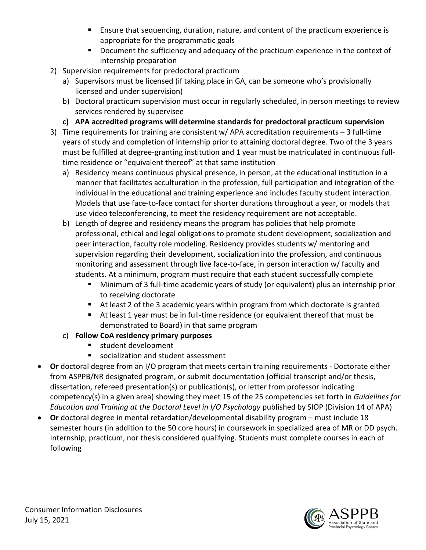- **Ensure that sequencing, duration, nature, and content of the practicum experience is** appropriate for the programmatic goals
- **Document the sufficiency and adequacy of the practicum experience in the context of** internship preparation
- 2) Supervision requirements for predoctoral practicum
	- a) Supervisors must be licensed (if taking place in GA, can be someone who's provisionally licensed and under supervision)
	- b) Doctoral practicum supervision must occur in regularly scheduled, in person meetings to review services rendered by supervisee
	- **c) APA accredited programs will determine standards for predoctoral practicum supervision**
- 3) Time requirements for training are consistent w/ APA accreditation requirements 3 full-time years of study and completion of internship prior to attaining doctoral degree. Two of the 3 years must be fulfilled at degree-granting institution and 1 year must be matriculated in continuous fulltime residence or "equivalent thereof" at that same institution
	- a) Residency means continuous physical presence, in person, at the educational institution in a manner that facilitates acculturation in the profession, full participation and integration of the individual in the educational and training experience and includes faculty student interaction. Models that use face-to-face contact for shorter durations throughout a year, or models that use video teleconferencing, to meet the residency requirement are not acceptable.
	- b) Length of degree and residency means the program has policies that help promote professional, ethical and legal obligations to promote student development, socialization and peer interaction, faculty role modeling. Residency provides students w/ mentoring and supervision regarding their development, socialization into the profession, and continuous monitoring and assessment through live face-to-face, in person interaction w/ faculty and students. At a minimum, program must require that each student successfully complete
		- Minimum of 3 full-time academic years of study (or equivalent) plus an internship prior to receiving doctorate
		- At least 2 of the 3 academic years within program from which doctorate is granted
		- At least 1 year must be in full-time residence (or equivalent thereof that must be demonstrated to Board) in that same program
	- c) **Follow CoA residency primary purposes**
		- student development
		- socialization and student assessment
- **Or** doctoral degree from an I/O program that meets certain training requirements Doctorate either from ASPPB/NR designated program, or submit documentation (official transcript and/or thesis, dissertation, refereed presentation(s) or publication(s), or letter from professor indicating competency(s) in a given area) showing they meet 15 of the 25 competencies set forth in *Guidelines for Education and Training at the Doctoral Level in I/O Psychology* published by SIOP (Division 14 of APA)
- **Or** doctoral degree in mental retardation/developmental disability program must include 18 semester hours (in addition to the 50 core hours) in coursework in specialized area of MR or DD psych. Internship, practicum, nor thesis considered qualifying. Students must complete courses in each of following

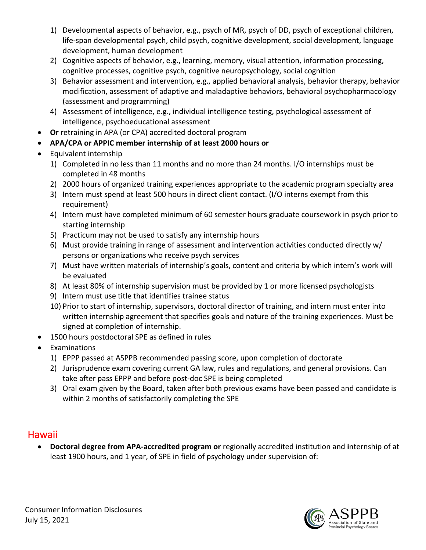- 1) Developmental aspects of behavior, e.g., psych of MR, psych of DD, psych of exceptional children, life-span developmental psych, child psych, cognitive development, social development, language development, human development
- 2) Cognitive aspects of behavior, e.g., learning, memory, visual attention, information processing, cognitive processes, cognitive psych, cognitive neuropsychology, social cognition
- 3) Behavior assessment and intervention, e.g., applied behavioral analysis, behavior therapy, behavior modification, assessment of adaptive and maladaptive behaviors, behavioral psychopharmacology (assessment and programming)
- 4) Assessment of intelligence, e.g., individual intelligence testing, psychological assessment of intelligence, psychoeducational assessment
- **Or** retraining in APA (or CPA) accredited doctoral program
- **APA/CPA or APPIC member internship of at least 2000 hours or**
- Equivalent internship
	- 1) Completed in no less than 11 months and no more than 24 months. I/O internships must be completed in 48 months
	- 2) 2000 hours of organized training experiences appropriate to the academic program specialty area
	- 3) Intern must spend at least 500 hours in direct client contact. (I/O interns exempt from this requirement)
	- 4) Intern must have completed minimum of 60 semester hours graduate coursework in psych prior to starting internship
	- 5) Practicum may not be used to satisfy any internship hours
	- 6) Must provide training in range of assessment and intervention activities conducted directly w/ persons or organizations who receive psych services
	- 7) Must have written materials of internship's goals, content and criteria by which intern's work will be evaluated
	- 8) At least 80% of internship supervision must be provided by 1 or more licensed psychologists
	- 9) Intern must use title that identifies trainee status
	- 10) Prior to start of internship, supervisors, doctoral director of training, and intern must enter into written internship agreement that specifies goals and nature of the training experiences. Must be signed at completion of internship.
- 1500 hours postdoctoral SPE as defined in rules
- **Examinations** 
	- 1) EPPP passed at ASPPB recommended passing score, upon completion of doctorate
	- 2) Jurisprudence exam covering current GA law, rules and regulations, and general provisions. Can take after pass EPPP and before post-doc SPE is being completed
	- 3) Oral exam given by the Board, taken after both previous exams have been passed and candidate is within 2 months of satisfactorily completing the SPE

## Hawaii

• **Doctoral degree from APA-accredited program or** regionally accredited institution and **i**nternship of at least 1900 hours, and 1 year, of SPE in field of psychology under supervision of:

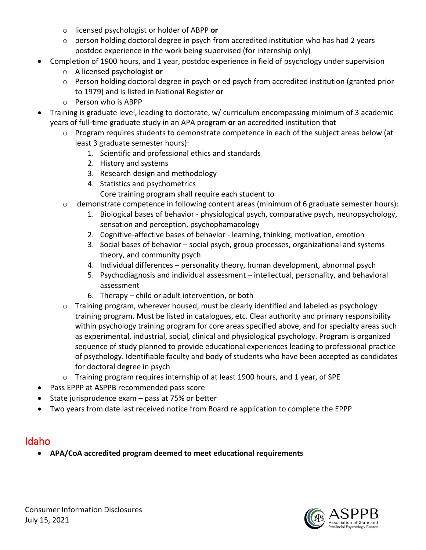- o licensed psychologist or holder of ABPP **or**
- o person holding doctoral degree in psych from accredited institution who has had 2 years postdoc experience in the work being supervised (for internship only)
- Completion of 1900 hours, and 1 year, postdoc experience in field of psychology under supervision
	- o A licensed psychologist **or**
	- o Person holding doctoral degree in psych or ed psych from accredited institution (granted prior to 1979) and is listed in National Register **or**
	- o Person who is ABPP
- Training is graduate level, leading to doctorate, w/ curriculum encompassing minimum of 3 academic years of full-time graduate study in an APA program **or** an accredited institution that
	- $\circ$  Program requires students to demonstrate competence in each of the subject areas below (at least 3 graduate semester hours):
		- 1. Scientific and professional ethics and standards
		- 2. History and systems
		- 3. Research design and methodology
		- 4. Statistics and psychometrics
			- Core training program shall require each student to
	- o demonstrate competence in following content areas (minimum of 6 graduate semester hours):
		- 1. Biological bases of behavior physiological psych, comparative psych, neuropsychology, sensation and perception, psychophamacology
		- 2. Cognitive-affective bases of behavior learning, thinking, motivation, emotion
		- 3. Social bases of behavior social psych, group processes, organizational and systems theory, and community psych
		- 4. Individual differences personality theory, human development, abnormal psych
		- 5. Psychodiagnosis and individual assessment intellectual, personality, and behavioral assessment
		- 6. Therapy child or adult intervention, or both
	- o Training program, wherever housed, must be clearly identified and labeled as psychology training program. Must be listed in catalogues, etc. Clear authority and primary responsibility within psychology training program for core areas specified above, and for specialty areas such as experimental, industrial, social, clinical and physiological psychology. Program is organized sequence of study planned to provide educational experiences leading to professional practice of psychology. Identifiable faculty and body of students who have been accepted as candidates for doctoral degree in psych
	- $\circ$  Training program requires internship of at least 1900 hours, and 1 year, of SPE
- Pass EPPP at ASPPB recommended pass score
- State jurisprudence exam pass at 75% or better
- Two years from date last received notice from Board re application to complete the EPPP

### Idaho

• **APA/CoA accredited program deemed to meet educational requirements**

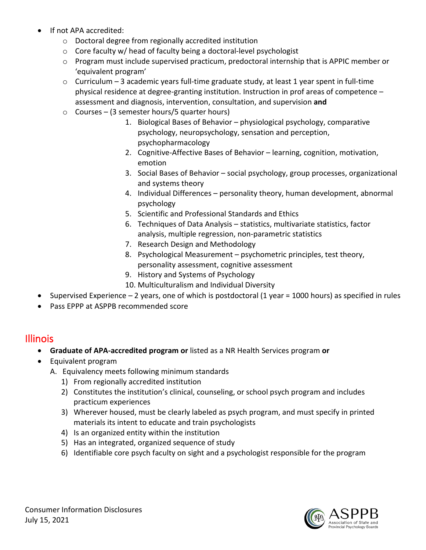- If not APA accredited:
	- o Doctoral degree from regionally accredited institution
	- o Core faculty w/ head of faculty being a doctoral-level psychologist
	- $\circ$  Program must include supervised practicum, predoctoral internship that is APPIC member or 'equivalent program'
	- $\circ$  Curriculum 3 academic years full-time graduate study, at least 1 year spent in full-time physical residence at degree-granting institution. Instruction in prof areas of competence – assessment and diagnosis, intervention, consultation, and supervision **and**
	- o Courses (3 semester hours/5 quarter hours)
		- 1. Biological Bases of Behavior physiological psychology, comparative psychology, neuropsychology, sensation and perception, psychopharmacology
		- 2. Cognitive-Affective Bases of Behavior learning, cognition, motivation, emotion
		- 3. Social Bases of Behavior social psychology, group processes, organizational and systems theory
		- 4. Individual Differences personality theory, human development, abnormal psychology
		- 5. Scientific and Professional Standards and Ethics
		- 6. Techniques of Data Analysis statistics, multivariate statistics, factor analysis, multiple regression, non-parametric statistics
		- 7. Research Design and Methodology
		- 8. Psychological Measurement psychometric principles, test theory, personality assessment, cognitive assessment
		- 9. History and Systems of Psychology
		- 10. Multiculturalism and Individual Diversity
- Supervised Experience 2 years, one of which is postdoctoral (1 year = 1000 hours) as specified in rules
- Pass EPPP at ASPPB recommended score

### Illinois

- **Graduate of APA-accredited program or** listed as a NR Health Services program **or**
- Equivalent program
	- A. Equivalency meets following minimum standards
		- 1) From regionally accredited institution
		- 2) Constitutes the institution's clinical, counseling, or school psych program and includes practicum experiences
		- 3) Wherever housed, must be clearly labeled as psych program, and must specify in printed materials its intent to educate and train psychologists
		- 4) Is an organized entity within the institution
		- 5) Has an integrated, organized sequence of study
		- 6) Identifiable core psych faculty on sight and a psychologist responsible for the program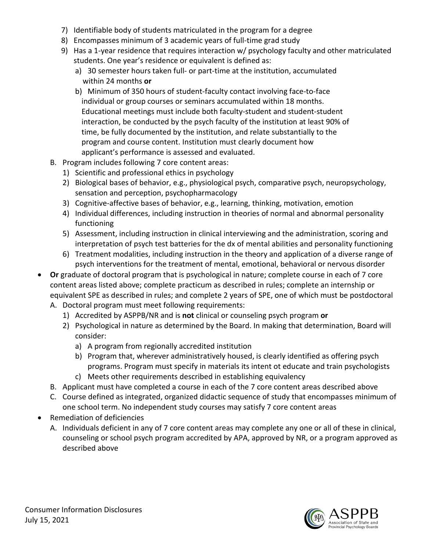- 7) Identifiable body of students matriculated in the program for a degree
- 8) Encompasses minimum of 3 academic years of full-time grad study
- 9) Has a 1-year residence that requires interaction w/ psychology faculty and other matriculated students. One year's residence or equivalent is defined as:
	- a) 30 semester hours taken full- or part-time at the institution, accumulated within 24 months **or**
	- b) Minimum of 350 hours of student-faculty contact involving face-to-face individual or group courses or seminars accumulated within 18 months. Educational meetings must include both faculty-student and student-student interaction, be conducted by the psych faculty of the institution at least 90% of time, be fully documented by the institution, and relate substantially to the program and course content. Institution must clearly document how applicant's performance is assessed and evaluated.
- B. Program includes following 7 core content areas:
	- 1) Scientific and professional ethics in psychology
	- 2) Biological bases of behavior, e.g., physiological psych, comparative psych, neuropsychology, sensation and perception, psychopharmacology
	- 3) Cognitive-affective bases of behavior, e.g., learning, thinking, motivation, emotion
	- 4) Individual differences, including instruction in theories of normal and abnormal personality functioning
	- 5) Assessment, including instruction in clinical interviewing and the administration, scoring and interpretation of psych test batteries for the dx of mental abilities and personality functioning
	- 6) Treatment modalities, including instruction in the theory and application of a diverse range of psych interventions for the treatment of mental, emotional, behavioral or nervous disorder
- **Or** graduate of doctoral program that is psychological in nature; complete course in each of 7 core content areas listed above; complete practicum as described in rules; complete an internship or equivalent SPE as described in rules; and complete 2 years of SPE, one of which must be postdoctoral A. Doctoral program must meet following requirements:
	- 1) Accredited by ASPPB/NR and is **not** clinical or counseling psych program **or**
		- 2) Psychological in nature as determined by the Board. In making that determination, Board will consider:
			- a) A program from regionally accredited institution
			- b) Program that, wherever administratively housed, is clearly identified as offering psych programs. Program must specify in materials its intent ot educate and train psychologists
			- c) Meets other requirements described in establishing equivalency
	- B. Applicant must have completed a course in each of the 7 core content areas described above
	- C. Course defined as integrated, organized didactic sequence of study that encompasses minimum of one school term. No independent study courses may satisfy 7 core content areas
- Remediation of deficiencies
	- A. Individuals deficient in any of 7 core content areas may complete any one or all of these in clinical, counseling or school psych program accredited by APA, approved by NR, or a program approved as described above

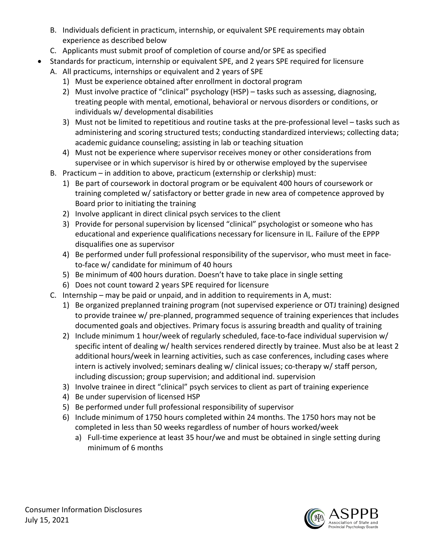- B. Individuals deficient in practicum, internship, or equivalent SPE requirements may obtain experience as described below
- C. Applicants must submit proof of completion of course and/or SPE as specified
- Standards for practicum, internship or equivalent SPE, and 2 years SPE required for licensure
	- A. All practicums, internships or equivalent and 2 years of SPE
		- 1) Must be experience obtained after enrollment in doctoral program
		- 2) Must involve practice of "clinical" psychology (HSP) tasks such as assessing, diagnosing, treating people with mental, emotional, behavioral or nervous disorders or conditions, or individuals w/ developmental disabilities
		- 3) Must not be limited to repetitious and routine tasks at the pre-professional level tasks such as administering and scoring structured tests; conducting standardized interviews; collecting data; academic guidance counseling; assisting in lab or teaching situation
		- 4) Must not be experience where supervisor receives money or other considerations from supervisee or in which supervisor is hired by or otherwise employed by the supervisee
	- B. Practicum in addition to above, practicum (externship or clerkship) must:
		- 1) Be part of coursework in doctoral program or be equivalent 400 hours of coursework or training completed w/ satisfactory or better grade in new area of competence approved by Board prior to initiating the training
		- 2) Involve applicant in direct clinical psych services to the client
		- 3) Provide for personal supervision by licensed "clinical" psychologist or someone who has educational and experience qualifications necessary for licensure in IL. Failure of the EPPP disqualifies one as supervisor
		- 4) Be performed under full professional responsibility of the supervisor, who must meet in faceto-face w/ candidate for minimum of 40 hours
		- 5) Be minimum of 400 hours duration. Doesn't have to take place in single setting
		- 6) Does not count toward 2 years SPE required for licensure
	- C. Internship may be paid or unpaid, and in addition to requirements in A, must:
		- 1) Be organized preplanned training program (not supervised experience or OTJ training) designed to provide trainee w/ pre-planned, programmed sequence of training experiences that includes documented goals and objectives. Primary focus is assuring breadth and quality of training
		- 2) Include minimum 1 hour/week of regularly scheduled, face-to-face individual supervision w/ specific intent of dealing w/ health services rendered directly by trainee. Must also be at least 2 additional hours/week in learning activities, such as case conferences, including cases where intern is actively involved; seminars dealing w/ clinical issues; co-therapy w/ staff person, including discussion; group supervision; and additional ind. supervision
		- 3) Involve trainee in direct "clinical" psych services to client as part of training experience
		- 4) Be under supervision of licensed HSP
		- 5) Be performed under full professional responsibility of supervisor
		- 6) Include minimum of 1750 hours completed within 24 months. The 1750 hors may not be completed in less than 50 weeks regardless of number of hours worked/week
			- a) Full-time experience at least 35 hour/we and must be obtained in single setting during minimum of 6 months

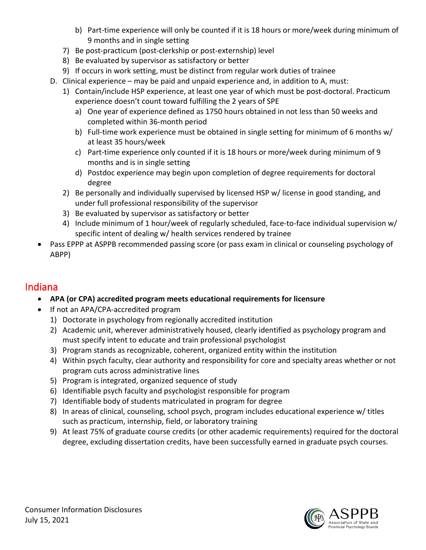- b) Part-time experience will only be counted if it is 18 hours or more/week during minimum of 9 months and in single setting
- 7) Be post-practicum (post-clerkship or post-externship) level
- 8) Be evaluated by supervisor as satisfactory or better
- 9) If occurs in work setting, must be distinct from regular work duties of trainee
- D. Clinical experience may be paid and unpaid experience and, in addition to A, must:
	- 1) Contain/include HSP experience, at least one year of which must be post-doctoral. Practicum experience doesn't count toward fulfilling the 2 years of SPE
		- a) One year of experience defined as 1750 hours obtained in not less than 50 weeks and completed within 36-month period
		- b) Full-time work experience must be obtained in single setting for minimum of 6 months w/ at least 35 hours/week
		- c) Part-time experience only counted if it is 18 hours or more/week during minimum of 9 months and is in single setting
		- d) Postdoc experience may begin upon completion of degree requirements for doctoral degree
	- 2) Be personally and individually supervised by licensed HSP w/ license in good standing, and under full professional responsibility of the supervisor
	- 3) Be evaluated by supervisor as satisfactory or better
	- 4) Include minimum of 1 hour/week of regularly scheduled, face-to-face individual supervision w/ specific intent of dealing w/ health services rendered by trainee
- Pass EPPP at ASPPB recommended passing score (or pass exam in clinical or counseling psychology of ABPP)

### Indiana

- **APA (or CPA) accredited program meets educational requirements for licensure**
- If not an APA/CPA-accredited program
	- 1) Doctorate in psychology from regionally accredited institution
	- 2) Academic unit, wherever administratively housed, clearly identified as psychology program and must specify intent to educate and train professional psychologist
	- 3) Program stands as recognizable, coherent, organized entity within the institution
	- 4) Within psych faculty, clear authority and responsibility for core and specialty areas whether or not program cuts across administrative lines
	- 5) Program is integrated, organized sequence of study
	- 6) Identifiable psych faculty and psychologist responsible for program
	- 7) Identifiable body of students matriculated in program for degree
	- 8) In areas of clinical, counseling, school psych, program includes educational experience w/ titles such as practicum, internship, field, or laboratory training
	- 9) At least 75% of graduate course credits (or other academic requirements) required for the doctoral degree, excluding dissertation credits, have been successfully earned in graduate psych courses.

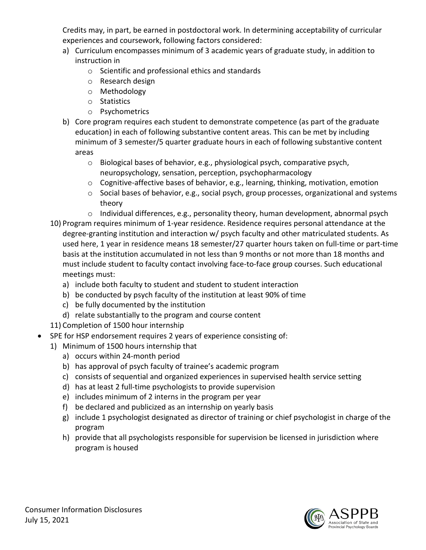Credits may, in part, be earned in postdoctoral work. In determining acceptability of curricular experiences and coursework, following factors considered:

- a) Curriculum encompasses minimum of 3 academic years of graduate study, in addition to instruction in
	- o Scientific and professional ethics and standards
	- o Research design
	- o Methodology
	- o Statistics
	- o Psychometrics
- b) Core program requires each student to demonstrate competence (as part of the graduate education) in each of following substantive content areas. This can be met by including minimum of 3 semester/5 quarter graduate hours in each of following substantive content areas
	- o Biological bases of behavior, e.g., physiological psych, comparative psych, neuropsychology, sensation, perception, psychopharmacology
	- o Cognitive-affective bases of behavior, e.g., learning, thinking, motivation, emotion
	- $\circ$  Social bases of behavior, e.g., social psych, group processes, organizational and systems theory
	- o Individual differences, e.g., personality theory, human development, abnormal psych
- 10) Program requires minimum of 1-year residence. Residence requires personal attendance at the degree-granting institution and interaction w/ psych faculty and other matriculated students. As used here, 1 year in residence means 18 semester/27 quarter hours taken on full-time or part-time basis at the institution accumulated in not less than 9 months or not more than 18 months and must include student to faculty contact involving face-to-face group courses. Such educational meetings must:
	- a) include both faculty to student and student to student interaction
	- b) be conducted by psych faculty of the institution at least 90% of time
	- c) be fully documented by the institution
	- d) relate substantially to the program and course content

11) Completion of 1500 hour internship

- SPE for HSP endorsement requires 2 years of experience consisting of:
	- 1) Minimum of 1500 hours internship that
		- a) occurs within 24-month period
		- b) has approval of psych faculty of trainee's academic program
		- c) consists of sequential and organized experiences in supervised health service setting
		- d) has at least 2 full-time psychologists to provide supervision
		- e) includes minimum of 2 interns in the program per year
		- f) be declared and publicized as an internship on yearly basis
		- g) include 1 psychologist designated as director of training or chief psychologist in charge of the program
		- h) provide that all psychologists responsible for supervision be licensed in jurisdiction where program is housed

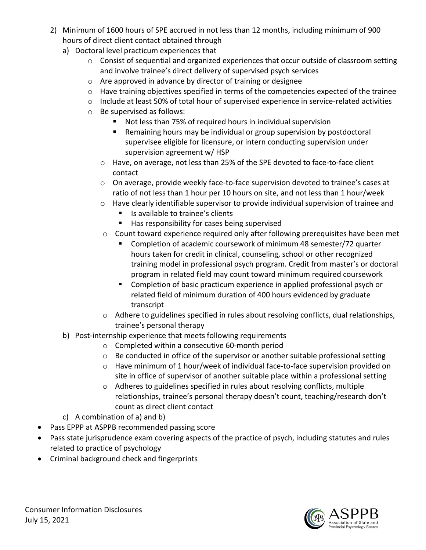- 2) Minimum of 1600 hours of SPE accrued in not less than 12 months, including minimum of 900 hours of direct client contact obtained through
	- a) Doctoral level practicum experiences that
		- o Consist of sequential and organized experiences that occur outside of classroom setting and involve trainee's direct delivery of supervised psych services
		- o Are approved in advance by director of training or designee
		- o Have training objectives specified in terms of the competencies expected of the trainee
		- o Include at least 50% of total hour of supervised experience in service-related activities
		- o Be supervised as follows:
			- Not less than 75% of required hours in individual supervision
			- Remaining hours may be individual or group supervision by postdoctoral supervisee eligible for licensure, or intern conducting supervision under supervision agreement w/ HSP
			- o Have, on average, not less than 25% of the SPE devoted to face-to-face client contact
			- o On average, provide weekly face-to-face supervision devoted to trainee's cases at ratio of not less than 1 hour per 10 hours on site, and not less than 1 hour/week
			- o Have clearly identifiable supervisor to provide individual supervision of trainee and
				- Is available to trainee's clients
				- Has responsibility for cases being supervised
			- $\circ$  Count toward experience required only after following prerequisites have been met
				- Completion of academic coursework of minimum 48 semester/72 quarter hours taken for credit in clinical, counseling, school or other recognized training model in professional psych program. Credit from master's or doctoral program in related field may count toward minimum required coursework
				- **Completion of basic practicum experience in applied professional psych or** related field of minimum duration of 400 hours evidenced by graduate transcript
			- $\circ$  Adhere to guidelines specified in rules about resolving conflicts, dual relationships, trainee's personal therapy
	- b) Post-internship experience that meets following requirements
		- o Completed within a consecutive 60-month period
		- o Be conducted in office of the supervisor or another suitable professional setting
		- o Have minimum of 1 hour/week of individual face-to-face supervision provided on site in office of supervisor of another suitable place within a professional setting
		- o Adheres to guidelines specified in rules about resolving conflicts, multiple relationships, trainee's personal therapy doesn't count, teaching/research don't count as direct client contact
	- c) A combination of a) and b)
- Pass EPPP at ASPPB recommended passing score
- Pass state jurisprudence exam covering aspects of the practice of psych, including statutes and rules related to practice of psychology
- Criminal background check and fingerprints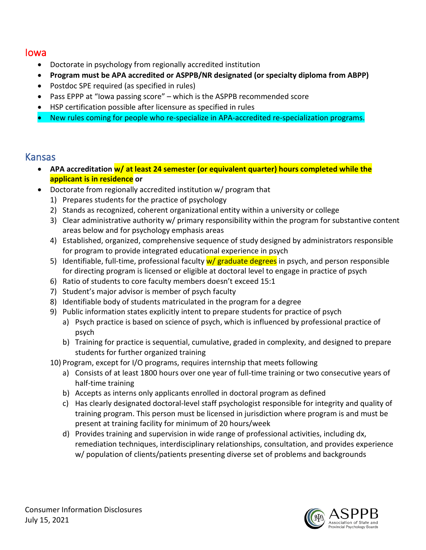#### Iowa

- Doctorate in psychology from regionally accredited institution
- **Program must be APA accredited or ASPPB/NR designated (or specialty diploma from ABPP)**
- Postdoc SPE required (as specified in rules)
- Pass EPPP at "Iowa passing score" which is the ASPPB recommended score
- HSP certification possible after licensure as specified in rules
- New rules coming for people who re-specialize in APA-accredited re-specialization programs.

#### Kansas

- **APA accreditation w/ at least 24 semester (or equivalent quarter) hours completed while the applicant is in residence or**
- Doctorate from regionally accredited institution w/ program that
	- 1) Prepares students for the practice of psychology
	- 2) Stands as recognized, coherent organizational entity within a university or college
	- 3) Clear administrative authority w/ primary responsibility within the program for substantive content areas below and for psychology emphasis areas
	- 4) Established, organized, comprehensive sequence of study designed by administrators responsible for program to provide integrated educational experience in psych
	- 5) Identifiable, full-time, professional faculty  $w/gr$  aduate degrees in psych, and person responsible for directing program is licensed or eligible at doctoral level to engage in practice of psych
	- 6) Ratio of students to core faculty members doesn't exceed 15:1
	- 7) Student's major advisor is member of psych faculty
	- 8) Identifiable body of students matriculated in the program for a degree
	- 9) Public information states explicitly intent to prepare students for practice of psych
		- a) Psych practice is based on science of psych, which is influenced by professional practice of psych
		- b) Training for practice is sequential, cumulative, graded in complexity, and designed to prepare students for further organized training
	- 10) Program, except for I/O programs, requires internship that meets following
		- a) Consists of at least 1800 hours over one year of full-time training or two consecutive years of half-time training
		- b) Accepts as interns only applicants enrolled in doctoral program as defined
		- c) Has clearly designated doctoral-level staff psychologist responsible for integrity and quality of training program. This person must be licensed in jurisdiction where program is and must be present at training facility for minimum of 20 hours/week
		- d) Provides training and supervision in wide range of professional activities, including dx, remediation techniques, interdisciplinary relationships, consultation, and provides experience w/ population of clients/patients presenting diverse set of problems and backgrounds

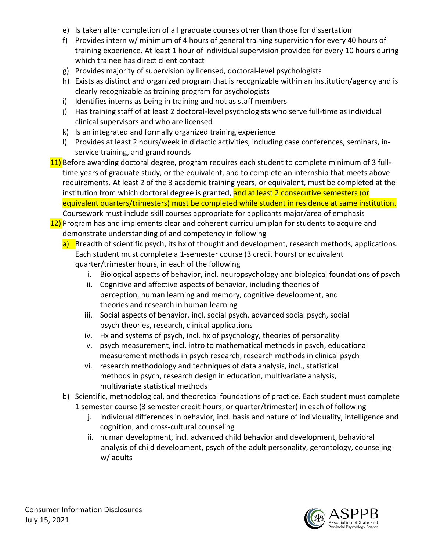- e) Is taken after completion of all graduate courses other than those for dissertation
- f) Provides intern w/ minimum of 4 hours of general training supervision for every 40 hours of training experience. At least 1 hour of individual supervision provided for every 10 hours during which trainee has direct client contact
- g) Provides majority of supervision by licensed, doctoral-level psychologists
- h) Exists as distinct and organized program that is recognizable within an institution/agency and is clearly recognizable as training program for psychologists
- i) Identifies interns as being in training and not as staff members
- j) Has training staff of at least 2 doctoral-level psychologists who serve full-time as individual clinical supervisors and who are licensed
- k) Is an integrated and formally organized training experience
- l) Provides at least 2 hours/week in didactic activities, including case conferences, seminars, inservice training, and grand rounds
- 11) Before awarding doctoral degree, program requires each student to complete minimum of 3 fulltime years of graduate study, or the equivalent, and to complete an internship that meets above requirements. At least 2 of the 3 academic training years, or equivalent, must be completed at the institution from which doctoral degree is granted, and at least 2 consecutive semesters (or equivalent quarters/trimesters) must be completed while student in residence at same institution. Coursework must include skill courses appropriate for applicants major/area of emphasis
- 12) Program has and implements clear and coherent curriculum plan for students to acquire and demonstrate understanding of and competency in following
	- a) Breadth of scientific psych, its hx of thought and development, research methods, applications. Each student must complete a 1-semester course (3 credit hours) or equivalent quarter/trimester hours, in each of the following
		- i. Biological aspects of behavior, incl. neuropsychology and biological foundations of psych
		- ii. Cognitive and affective aspects of behavior, including theories of perception, human learning and memory, cognitive development, and theories and research in human learning
		- iii. Social aspects of behavior, incl. social psych, advanced social psych, social psych theories, research, clinical applications
		- iv. Hx and systems of psych, incl. hx of psychology, theories of personality
		- v. psych measurement, incl. intro to mathematical methods in psych, educational measurement methods in psych research, research methods in clinical psych
		- vi. research methodology and techniques of data analysis, incl., statistical methods in psych, research design in education, multivariate analysis, multivariate statistical methods
	- b) Scientific, methodological, and theoretical foundations of practice. Each student must complete 1 semester course (3 semester credit hours, or quarter/trimester) in each of following
		- j. individual differences in behavior, incl. basis and nature of individuality, intelligence and cognition, and cross-cultural counseling
		- ii. human development, incl. advanced child behavior and development, behavioral analysis of child development, psych of the adult personality, gerontology, counseling w/ adults

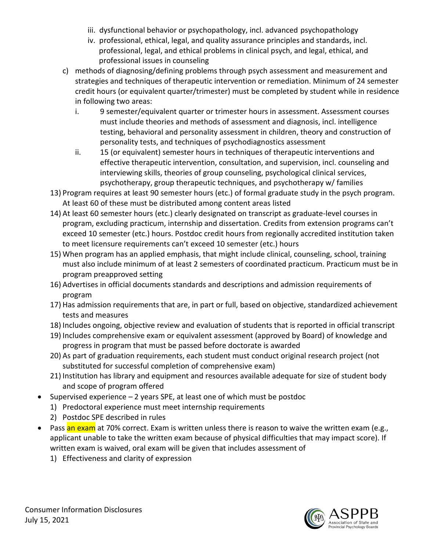- iii. dysfunctional behavior or psychopathology, incl. advanced psychopathology
- iv. professional, ethical, legal, and quality assurance principles and standards, incl. professional, legal, and ethical problems in clinical psych, and legal, ethical, and professional issues in counseling
- c) methods of diagnosing/defining problems through psych assessment and measurement and strategies and techniques of therapeutic intervention or remediation. Minimum of 24 semester credit hours (or equivalent quarter/trimester) must be completed by student while in residence in following two areas:
	- i. 9 semester/equivalent quarter or trimester hours in assessment. Assessment courses must include theories and methods of assessment and diagnosis, incl. intelligence testing, behavioral and personality assessment in children, theory and construction of personality tests, and techniques of psychodiagnostics assessment
	- ii. 15 (or equivalent) semester hours in techniques of therapeutic interventions and effective therapeutic intervention, consultation, and supervision, incl. counseling and interviewing skills, theories of group counseling, psychological clinical services, psychotherapy, group therapeutic techniques, and psychotherapy w/ families
- 13) Program requires at least 90 semester hours (etc.) of formal graduate study in the psych program. At least 60 of these must be distributed among content areas listed
- 14) At least 60 semester hours (etc.) clearly designated on transcript as graduate-level courses in program, excluding practicum, internship and dissertation. Credits from extension programs can't exceed 10 semester (etc.) hours. Postdoc credit hours from regionally accredited institution taken to meet licensure requirements can't exceed 10 semester (etc.) hours
- 15) When program has an applied emphasis, that might include clinical, counseling, school, training must also include minimum of at least 2 semesters of coordinated practicum. Practicum must be in program preapproved setting
- 16) Advertises in official documents standards and descriptions and admission requirements of program
- 17) Has admission requirements that are, in part or full, based on objective, standardized achievement tests and measures
- 18) Includes ongoing, objective review and evaluation of students that is reported in official transcript
- 19) Includes comprehensive exam or equivalent assessment (approved by Board) of knowledge and progress in program that must be passed before doctorate is awarded
- 20) As part of graduation requirements, each student must conduct original research project (not substituted for successful completion of comprehensive exam)
- 21) Institution has library and equipment and resources available adequate for size of student body and scope of program offered
- Supervised experience  $-2$  years SPE, at least one of which must be postdoc
	- 1) Predoctoral experience must meet internship requirements
	- 2) Postdoc SPE described in rules
- Pass an exam at 70% correct. Exam is written unless there is reason to waive the written exam (e.g., applicant unable to take the written exam because of physical difficulties that may impact score). If written exam is waived, oral exam will be given that includes assessment of
	- 1) Effectiveness and clarity of expression

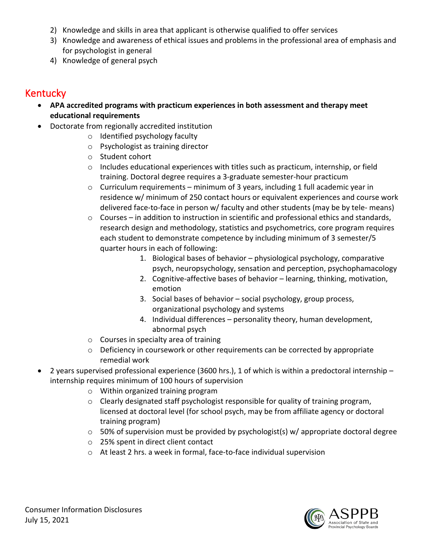- 2) Knowledge and skills in area that applicant is otherwise qualified to offer services
- 3) Knowledge and awareness of ethical issues and problems in the professional area of emphasis and for psychologist in general
- 4) Knowledge of general psych

### Kentucky

- **APA accredited programs with practicum experiences in both assessment and therapy meet educational requirements**
- Doctorate from regionally accredited institution
	- o Identified psychology faculty
	- o Psychologist as training director
	- o Student cohort
	- $\circ$  Includes educational experiences with titles such as practicum, internship, or field training. Doctoral degree requires a 3-graduate semester-hour practicum
	- $\circ$  Curriculum requirements minimum of 3 years, including 1 full academic year in residence w/ minimum of 250 contact hours or equivalent experiences and course work delivered face-to-face in person w/ faculty and other students (may be by tele- means)
	- o Courses in addition to instruction in scientific and professional ethics and standards, research design and methodology, statistics and psychometrics, core program requires each student to demonstrate competence by including minimum of 3 semester/5 quarter hours in each of following:
		- 1. Biological bases of behavior physiological psychology, comparative psych, neuropsychology, sensation and perception, psychophamacology
		- 2. Cognitive-affective bases of behavior learning, thinking, motivation, emotion
		- 3. Social bases of behavior social psychology, group process, organizational psychology and systems
		- 4. Individual differences personality theory, human development, abnormal psych
	- o Courses in specialty area of training
	- o Deficiency in coursework or other requirements can be corrected by appropriate remedial work
- 2 years supervised professional experience (3600 hrs.), 1 of which is within a predoctoral internship internship requires minimum of 100 hours of supervision
	- o Within organized training program
	- o Clearly designated staff psychologist responsible for quality of training program, licensed at doctoral level (for school psych, may be from affiliate agency or doctoral training program)
	- o 50% of supervision must be provided by psychologist(s) w/ appropriate doctoral degree
	- o 25% spent in direct client contact
	- o At least 2 hrs. a week in formal, face-to-face individual supervision

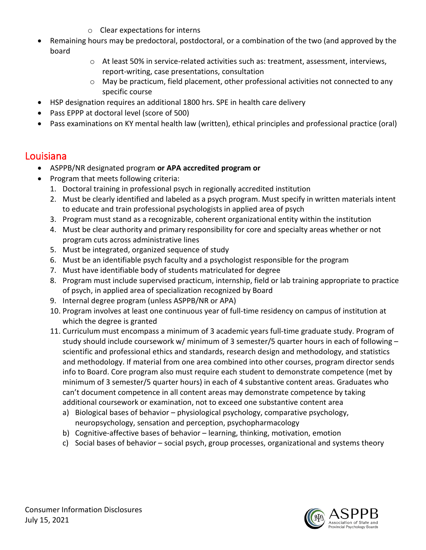- o Clear expectations for interns
- Remaining hours may be predoctoral, postdoctoral, or a combination of the two (and approved by the board
	- o At least 50% in service-related activities such as: treatment, assessment, interviews, report-writing, case presentations, consultation
	- $\circ$  May be practicum, field placement, other professional activities not connected to any specific course
- HSP designation requires an additional 1800 hrs. SPE in health care delivery
- Pass EPPP at doctoral level (score of 500)
- Pass examinations on KY mental health law (written), ethical principles and professional practice (oral)

### Louisiana

- ASPPB/NR designated program **or APA accredited program or**
- Program that meets following criteria:
	- 1. Doctoral training in professional psych in regionally accredited institution
	- 2. Must be clearly identified and labeled as a psych program. Must specify in written materials intent to educate and train professional psychologists in applied area of psych
	- 3. Program must stand as a recognizable, coherent organizational entity within the institution
	- 4. Must be clear authority and primary responsibility for core and specialty areas whether or not program cuts across administrative lines
	- 5. Must be integrated, organized sequence of study
	- 6. Must be an identifiable psych faculty and a psychologist responsible for the program
	- 7. Must have identifiable body of students matriculated for degree
	- 8. Program must include supervised practicum, internship, field or lab training appropriate to practice of psych, in applied area of specialization recognized by Board
	- 9. Internal degree program (unless ASPPB/NR or APA)
	- 10. Program involves at least one continuous year of full-time residency on campus of institution at which the degree is granted
	- 11. Curriculum must encompass a minimum of 3 academic years full-time graduate study. Program of study should include coursework w/ minimum of 3 semester/5 quarter hours in each of following – scientific and professional ethics and standards, research design and methodology, and statistics and methodology. If material from one area combined into other courses, program director sends info to Board. Core program also must require each student to demonstrate competence (met by minimum of 3 semester/5 quarter hours) in each of 4 substantive content areas. Graduates who can't document competence in all content areas may demonstrate competence by taking additional coursework or examination, not to exceed one substantive content area
		- a) Biological bases of behavior physiological psychology, comparative psychology, neuropsychology, sensation and perception, psychopharmacology
		- b) Cognitive-affective bases of behavior learning, thinking, motivation, emotion
		- c) Social bases of behavior social psych, group processes, organizational and systems theory

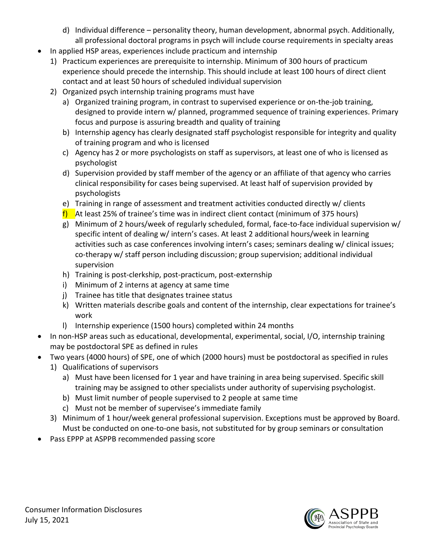- d) Individual difference personality theory, human development, abnormal psych. Additionally, all professional doctoral programs in psych will include course requirements in specialty areas
- In applied HSP areas, experiences include practicum and internship
	- 1) Practicum experiences are prerequisite to internship. Minimum of 300 hours of practicum experience should precede the internship. This should include at least 100 hours of direct client contact and at least 50 hours of scheduled individual supervision
	- 2) Organized psych internship training programs must have
		- a) Organized training program, in contrast to supervised experience or on-the-job training, designed to provide intern w/ planned, programmed sequence of training experiences. Primary focus and purpose is assuring breadth and quality of training
		- b) Internship agency has clearly designated staff psychologist responsible for integrity and quality of training program and who is licensed
		- c) Agency has 2 or more psychologists on staff as supervisors, at least one of who is licensed as psychologist
		- d) Supervision provided by staff member of the agency or an affiliate of that agency who carries clinical responsibility for cases being supervised. At least half of supervision provided by psychologists
		- e) Training in range of assessment and treatment activities conducted directly w/ clients
		- f) At least 25% of trainee's time was in indirect client contact (minimum of 375 hours)
		- g) Minimum of 2 hours/week of regularly scheduled, formal, face-to-face individual supervision w/ specific intent of dealing w/ intern's cases. At least 2 additional hours/week in learning activities such as case conferences involving intern's cases; seminars dealing w/ clinical issues; co-therapy w/ staff person including discussion; group supervision; additional individual supervision
		- h) Training is post-clerkship, post-practicum, post-externship
		- i) Minimum of 2 interns at agency at same time
		- j) Trainee has title that designates trainee status
		- k) Written materials describe goals and content of the internship, clear expectations for trainee's work
		- l) Internship experience (1500 hours) completed within 24 months
- In non-HSP areas such as educational, developmental, experimental, social, I/O, internship training may be postdoctoral SPE as defined in rules
- Two years (4000 hours) of SPE, one of which (2000 hours) must be postdoctoral as specified in rules
	- 1) Qualifications of supervisors
		- a) Must have been licensed for 1 year and have training in area being supervised. Specific skill training may be assigned to other specialists under authority of supervising psychologist.
		- b) Must limit number of people supervised to 2 people at same time
		- c) Must not be member of supervisee's immediate family
	- 3) Minimum of 1 hour/week general professional supervision. Exceptions must be approved by Board. Must be conducted on one-to-one basis, not substituted for by group seminars or consultation
- Pass EPPP at ASPPB recommended passing score

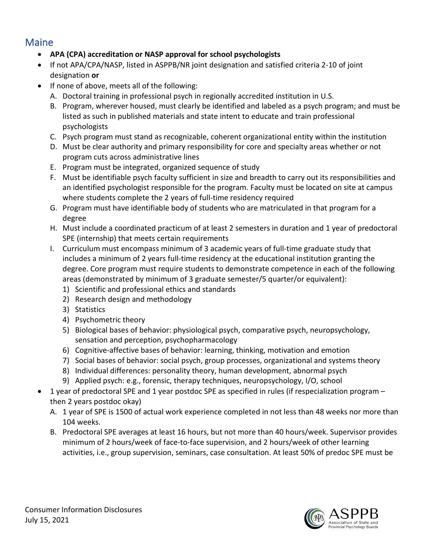### **Maine**

- **APA (CPA) accreditation or NASP approval for school psychologists**
- If not APA/CPA/NASP, listed in ASPPB/NR joint designation and satisfied criteria 2-10 of joint designation **or**
- If none of above, meets all of the following:
	- A. Doctoral training in professional psych in regionally accredited institution in U.S.
	- B. Program, wherever housed, must clearly be identified and labeled as a psych program; and must be listed as such in published materials and state intent to educate and train professional psychologists
	- C. Psych program must stand as recognizable, coherent organizational entity within the institution
	- D. Must be clear authority and primary responsibility for core and specialty areas whether or not program cuts across administrative lines
	- E. Program must be integrated, organized sequence of study
	- F. Must be identifiable psych faculty sufficient in size and breadth to carry out its responsibilities and an identified psychologist responsible for the program. Faculty must be located on site at campus where students complete the 2 years of full-time residency required
	- G. Program must have identifiable body of students who are matriculated in that program for a degree
	- H. Must include a coordinated practicum of at least 2 semesters in duration and 1 year of predoctoral SPE (internship) that meets certain requirements
	- I. Curriculum must encompass minimum of 3 academic years of full-time graduate study that includes a minimum of 2 years full-time residency at the educational institution granting the degree. Core program must require students to demonstrate competence in each of the following areas (demonstrated by minimum of 3 graduate semester/5 quarter/or equivalent):
		- 1) Scientific and professional ethics and standards
		- 2) Research design and methodology
		- 3) Statistics
		- 4) Psychometric theory
		- 5) Biological bases of behavior: physiological psych, comparative psych, neuropsychology, sensation and perception, psychopharmacology
		- 6) Cognitive-affective bases of behavior: learning, thinking, motivation and emotion
		- 7) Social bases of behavior: social psych, group processes, organizational and systems theory
		- 8) Individual differences: personality theory, human development, abnormal psych
		- 9) Applied psych: e.g., forensic, therapy techniques, neuropsychology, I/O, school
- 1 year of predoctoral SPE and 1 year postdoc SPE as specified in rules (if respecialization program then 2 years postdoc okay)
	- A. 1 year of SPE is 1500 of actual work experience completed in not less than 48 weeks nor more than 104 weeks.
	- B. Predoctoral SPE averages at least 16 hours, but not more than 40 hours/week. Supervisor provides minimum of 2 hours/week of face-to-face supervision, and 2 hours/week of other learning activities, i.e., group supervision, seminars, case consultation. At least 50% of predoc SPE must be

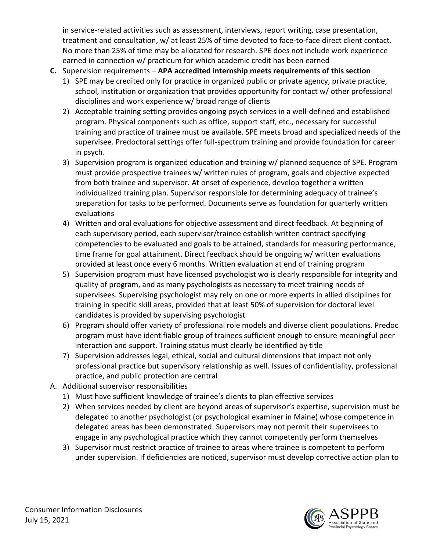in service-related activities such as assessment, interviews, report writing, case presentation, treatment and consultation, w/ at least 25% of time devoted to face-to-face direct client contact. No more than 25% of time may be allocated for research. SPE does not include work experience earned in connection w/ practicum for which academic credit has been earned

- **C.** Supervision requirements **APA accredited internship meets requirements of this section**
	- 1) SPE may be credited only for practice in organized public or private agency, private practice, school, institution or organization that provides opportunity for contact w/ other professional disciplines and work experience w/ broad range of clients
	- 2) Acceptable training setting provides ongoing psych services in a well-defined and established program. Physical components such as office, support staff, etc., necessary for successful training and practice of trainee must be available. SPE meets broad and specialized needs of the supervisee. Predoctoral settings offer full-spectrum training and provide foundation for career in psych.
	- 3) Supervision program is organized education and training w/ planned sequence of SPE. Program must provide prospective trainees w/ written rules of program, goals and objective expected from both trainee and supervisor. At onset of experience, develop together a written individualized training plan. Supervisor responsible for determining adequacy of trainee's preparation for tasks to be performed. Documents serve as foundation for quarterly written evaluations
	- 4) Written and oral evaluations for objective assessment and direct feedback. At beginning of each supervisory period, each supervisor/trainee establish written contract specifying competencies to be evaluated and goals to be attained, standards for measuring performance, time frame for goal attainment. Direct feedback should be ongoing w/ written evaluations provided at least once every 6 months. Written evaluation at end of training program
	- 5) Supervision program must have licensed psychologist wo is clearly responsible for integrity and quality of program, and as many psychologists as necessary to meet training needs of supervisees. Supervising psychologist may rely on one or more experts in allied disciplines for training in specific skill areas, provided that at least 50% of supervision for doctoral level candidates is provided by supervising psychologist
	- 6) Program should offer variety of professional role models and diverse client populations. Predoc program must have identifiable group of trainees sufficient enough to ensure meaningful peer interaction and support. Training status must clearly be identified by title
	- 7) Supervision addresses legal, ethical, social and cultural dimensions that impact not only professional practice but supervisory relationship as well. Issues of confidentiality, professional practice, and public protection are central
- A. Additional supervisor responsibilities
	- 1) Must have sufficient knowledge of trainee's clients to plan effective services
	- 2) When services needed by client are beyond areas of supervisor's expertise, supervision must be delegated to another psychologist (or psychological examiner in Maine) whose competence in delegated areas has been demonstrated. Supervisors may not permit their supervisees to engage in any psychological practice which they cannot competently perform themselves
	- 3) Supervisor must restrict practice of trainee to areas where trainee is competent to perform under supervision. If deficiencies are noticed, supervisor must develop corrective action plan to

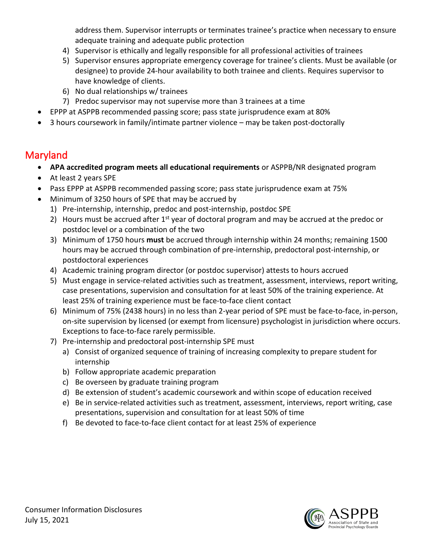address them. Supervisor interrupts or terminates trainee's practice when necessary to ensure adequate training and adequate public protection

- 4) Supervisor is ethically and legally responsible for all professional activities of trainees
- 5) Supervisor ensures appropriate emergency coverage for trainee's clients. Must be available (or designee) to provide 24-hour availability to both trainee and clients. Requires supervisor to have knowledge of clients.
- 6) No dual relationships w/ trainees
- 7) Predoc supervisor may not supervise more than 3 trainees at a time
- EPPP at ASPPB recommended passing score; pass state jurisprudence exam at 80%
- 3 hours coursework in family/intimate partner violence may be taken post-doctorally

# Maryland

- **APA accredited program meets all educational requirements** or ASPPB/NR designated program
- At least 2 years SPE
- Pass EPPP at ASPPB recommended passing score; pass state jurisprudence exam at 75%
- Minimum of 3250 hours of SPE that may be accrued by
	- 1) Pre-internship, internship, predoc and post-internship, postdoc SPE
	- 2) Hours must be accrued after  $1<sup>st</sup>$  year of doctoral program and may be accrued at the predoc or postdoc level or a combination of the two
	- 3) Minimum of 1750 hours **must** be accrued through internship within 24 months; remaining 1500 hours may be accrued through combination of pre-internship, predoctoral post-internship, or postdoctoral experiences
	- 4) Academic training program director (or postdoc supervisor) attests to hours accrued
	- 5) Must engage in service-related activities such as treatment, assessment, interviews, report writing, case presentations, supervision and consultation for at least 50% of the training experience. At least 25% of training experience must be face-to-face client contact
	- 6) Minimum of 75% (2438 hours) in no less than 2-year period of SPE must be face-to-face, in-person, on-site supervision by licensed (or exempt from licensure) psychologist in jurisdiction where occurs. Exceptions to face-to-face rarely permissible.
	- 7) Pre-internship and predoctoral post-internship SPE must
		- a) Consist of organized sequence of training of increasing complexity to prepare student for internship
		- b) Follow appropriate academic preparation
		- c) Be overseen by graduate training program
		- d) Be extension of student's academic coursework and within scope of education received
		- e) Be in service-related activities such as treatment, assessment, interviews, report writing, case presentations, supervision and consultation for at least 50% of time
		- f) Be devoted to face-to-face client contact for at least 25% of experience

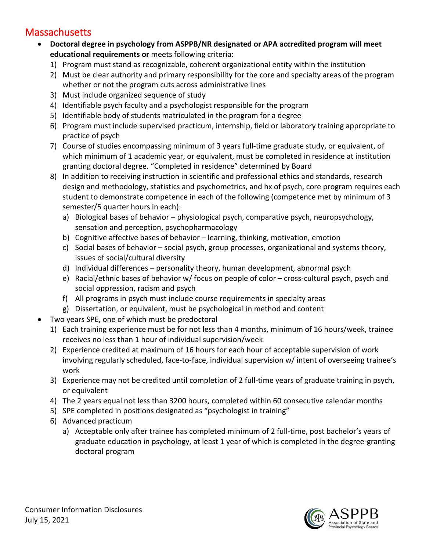### **Massachusetts**

- **Doctoral degree in psychology from ASPPB/NR designated or APA accredited program will meet educational requirements or** meets following criteria:
	- 1) Program must stand as recognizable, coherent organizational entity within the institution
	- 2) Must be clear authority and primary responsibility for the core and specialty areas of the program whether or not the program cuts across administrative lines
	- 3) Must include organized sequence of study
	- 4) Identifiable psych faculty and a psychologist responsible for the program
	- 5) Identifiable body of students matriculated in the program for a degree
	- 6) Program must include supervised practicum, internship, field or laboratory training appropriate to practice of psych
	- 7) Course of studies encompassing minimum of 3 years full-time graduate study, or equivalent, of which minimum of 1 academic year, or equivalent, must be completed in residence at institution granting doctoral degree. "Completed in residence" determined by Board
	- 8) In addition to receiving instruction in scientific and professional ethics and standards, research design and methodology, statistics and psychometrics, and hx of psych, core program requires each student to demonstrate competence in each of the following (competence met by minimum of 3 semester/5 quarter hours in each):
		- a) Biological bases of behavior physiological psych, comparative psych, neuropsychology, sensation and perception, psychopharmacology
		- b) Cognitive affective bases of behavior learning, thinking, motivation, emotion
		- c) Social bases of behavior social psych, group processes, organizational and systems theory, issues of social/cultural diversity
		- d) Individual differences personality theory, human development, abnormal psych
		- e) Racial/ethnic bases of behavior w/ focus on people of color cross-cultural psych, psych and social oppression, racism and psych
		- f) All programs in psych must include course requirements in specialty areas
		- g) Dissertation, or equivalent, must be psychological in method and content
- Two years SPE, one of which must be predoctoral
	- 1) Each training experience must be for not less than 4 months, minimum of 16 hours/week, trainee receives no less than 1 hour of individual supervision/week
	- 2) Experience credited at maximum of 16 hours for each hour of acceptable supervision of work involving regularly scheduled, face-to-face, individual supervision w/ intent of overseeing trainee's work
	- 3) Experience may not be credited until completion of 2 full-time years of graduate training in psych, or equivalent
	- 4) The 2 years equal not less than 3200 hours, completed within 60 consecutive calendar months
	- 5) SPE completed in positions designated as "psychologist in training"
	- 6) Advanced practicum
		- a) Acceptable only after trainee has completed minimum of 2 full-time, post bachelor's years of graduate education in psychology, at least 1 year of which is completed in the degree-granting doctoral program

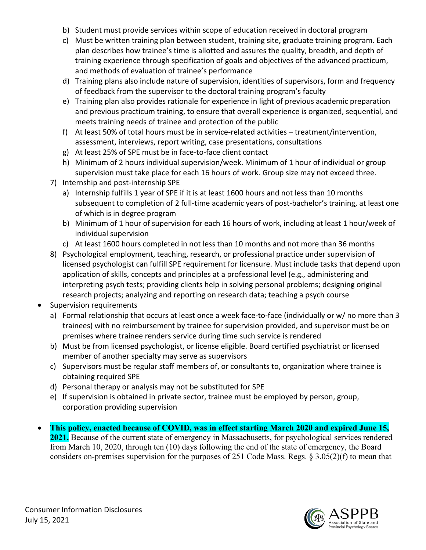- b) Student must provide services within scope of education received in doctoral program
- c) Must be written training plan between student, training site, graduate training program. Each plan describes how trainee's time is allotted and assures the quality, breadth, and depth of training experience through specification of goals and objectives of the advanced practicum, and methods of evaluation of trainee's performance
- d) Training plans also include nature of supervision, identities of supervisors, form and frequency of feedback from the supervisor to the doctoral training program's faculty
- e) Training plan also provides rationale for experience in light of previous academic preparation and previous practicum training, to ensure that overall experience is organized, sequential, and meets training needs of trainee and protection of the public
- f) At least 50% of total hours must be in service-related activities treatment/intervention, assessment, interviews, report writing, case presentations, consultations
- g) At least 25% of SPE must be in face-to-face client contact
- h) Minimum of 2 hours individual supervision/week. Minimum of 1 hour of individual or group supervision must take place for each 16 hours of work. Group size may not exceed three.
- 7) Internship and post-internship SPE
	- a) Internship fulfills 1 year of SPE if it is at least 1600 hours and not less than 10 months subsequent to completion of 2 full-time academic years of post-bachelor's training, at least one of which is in degree program
	- b) Minimum of 1 hour of supervision for each 16 hours of work, including at least 1 hour/week of individual supervision
	- c) At least 1600 hours completed in not less than 10 months and not more than 36 months
- 8) Psychological employment, teaching, research, or professional practice under supervision of licensed psychologist can fulfill SPE requirement for licensure. Must include tasks that depend upon application of skills, concepts and principles at a professional level (e.g., administering and interpreting psych tests; providing clients help in solving personal problems; designing original research projects; analyzing and reporting on research data; teaching a psych course
- Supervision requirements
	- a) Formal relationship that occurs at least once a week face-to-face (individually or w/ no more than 3 trainees) with no reimbursement by trainee for supervision provided, and supervisor must be on premises where trainee renders service during time such service is rendered
	- b) Must be from licensed psychologist, or license eligible. Board certified psychiatrist or licensed member of another specialty may serve as supervisors
	- c) Supervisors must be regular staff members of, or consultants to, organization where trainee is obtaining required SPE
	- d) Personal therapy or analysis may not be substituted for SPE
	- e) If supervision is obtained in private sector, trainee must be employed by person, group, corporation providing supervision
- **This policy, enacted because of COVID, was in effect starting March 2020 and expired June 15, 2021.** Because of the current state of emergency in Massachusetts, for psychological services rendered from March 10, 2020, through ten (10) days following the end of the state of emergency, the Board considers on-premises supervision for the purposes of 251 Code Mass. Regs. § 3.05(2)(f) to mean that

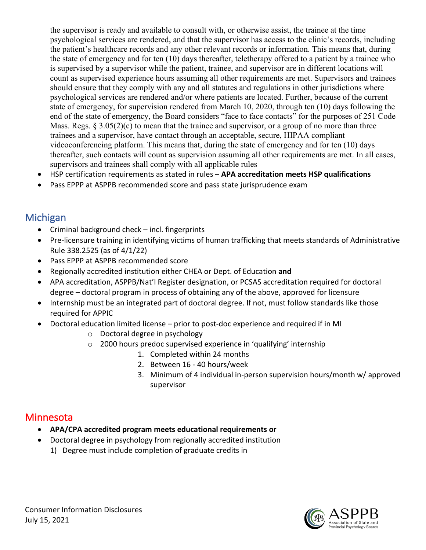the supervisor is ready and available to consult with, or otherwise assist, the trainee at the time psychological services are rendered, and that the supervisor has access to the clinic's records, including the patient's healthcare records and any other relevant records or information. This means that, during the state of emergency and for ten (10) days thereafter, teletherapy offered to a patient by a trainee who is supervised by a supervisor while the patient, trainee, and supervisor are in different locations will count as supervised experience hours assuming all other requirements are met. Supervisors and trainees should ensure that they comply with any and all statutes and regulations in other jurisdictions where psychological services are rendered and/or where patients are located. Further, because of the current state of emergency, for supervision rendered from March 10, 2020, through ten (10) days following the end of the state of emergency, the Board considers "face to face contacts" for the purposes of 251 Code Mass. Regs. § 3.05(2)(c) to mean that the trainee and supervisor, or a group of no more than three trainees and a supervisor, have contact through an acceptable, secure, HIPAA compliant videoconferencing platform. This means that, during the state of emergency and for ten (10) days thereafter, such contacts will count as supervision assuming all other requirements are met. In all cases, supervisors and trainees shall comply with all applicable rules

- HSP certification requirements as stated in rules **APA accreditation meets HSP qualifications**
- Pass EPPP at ASPPB recommended score and pass state jurisprudence exam

### Michigan

- Criminal background check incl. fingerprints
- Pre-licensure training in identifying victims of human trafficking that meets standards of Administrative Rule 338.2525 (as of 4/1/22)
- Pass EPPP at ASPPB recommended score
- Regionally accredited institution either CHEA or Dept. of Education **and**
- APA accreditation, ASPPB/Nat'l Register designation, or PCSAS accreditation required for doctoral degree – doctoral program in process of obtaining any of the above, approved for licensure
- Internship must be an integrated part of doctoral degree. If not, must follow standards like those required for APPIC
- Doctoral education limited license prior to post-doc experience and required if in MI
	- o Doctoral degree in psychology
	- o 2000 hours predoc supervised experience in 'qualifying' internship
		- 1. Completed within 24 months
		- 2. Between 16 40 hours/week
		- 3. Minimum of 4 individual in-person supervision hours/month w/ approved supervisor

### Minnesota

- **APA/CPA accredited program meets educational requirements or**
- Doctoral degree in psychology from regionally accredited institution
	- 1) Degree must include completion of graduate credits in

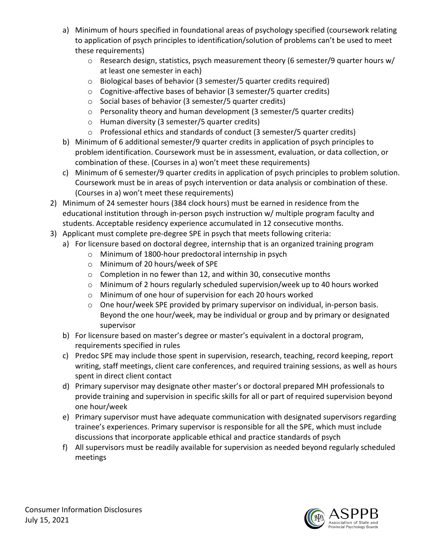- a) Minimum of hours specified in foundational areas of psychology specified (coursework relating to application of psych principles to identification/solution of problems can't be used to meet these requirements)
	- o Research design, statistics, psych measurement theory (6 semester/9 quarter hours w/ at least one semester in each)
	- o Biological bases of behavior (3 semester/5 quarter credits required)
	- o Cognitive-affective bases of behavior (3 semester/5 quarter credits)
	- o Social bases of behavior (3 semester/5 quarter credits)
	- $\circ$  Personality theory and human development (3 semester/5 quarter credits)
	- o Human diversity (3 semester/5 quarter credits)
	- o Professional ethics and standards of conduct (3 semester/5 quarter credits)
- b) Minimum of 6 additional semester/9 quarter credits in application of psych principles to problem identification. Coursework must be in assessment, evaluation, or data collection, or combination of these. (Courses in a) won't meet these requirements)
- c) Minimum of 6 semester/9 quarter credits in application of psych principles to problem solution. Coursework must be in areas of psych intervention or data analysis or combination of these. (Courses in a) won't meet these requirements)
- 2) Minimum of 24 semester hours (384 clock hours) must be earned in residence from the educational institution through in-person psych instruction w/ multiple program faculty and students. Acceptable residency experience accumulated in 12 consecutive months.
- 3) Applicant must complete pre-degree SPE in psych that meets following criteria:
	- a) For licensure based on doctoral degree, internship that is an organized training program
		- o Minimum of 1800-hour predoctoral internship in psych
		- o Minimum of 20 hours/week of SPE
		- o Completion in no fewer than 12, and within 30, consecutive months
		- o Minimum of 2 hours regularly scheduled supervision/week up to 40 hours worked
		- o Minimum of one hour of supervision for each 20 hours worked
		- o One hour/week SPE provided by primary supervisor on individual, in-person basis. Beyond the one hour/week, may be individual or group and by primary or designated supervisor
	- b) For licensure based on master's degree or master's equivalent in a doctoral program, requirements specified in rules
	- c) Predoc SPE may include those spent in supervision, research, teaching, record keeping, report writing, staff meetings, client care conferences, and required training sessions, as well as hours spent in direct client contact
	- d) Primary supervisor may designate other master's or doctoral prepared MH professionals to provide training and supervision in specific skills for all or part of required supervision beyond one hour/week
	- e) Primary supervisor must have adequate communication with designated supervisors regarding trainee's experiences. Primary supervisor is responsible for all the SPE, which must include discussions that incorporate applicable ethical and practice standards of psych
	- f) All supervisors must be readily available for supervision as needed beyond regularly scheduled meetings

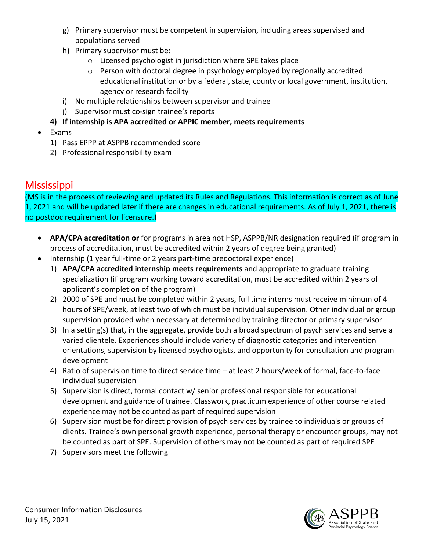- g) Primary supervisor must be competent in supervision, including areas supervised and populations served
- h) Primary supervisor must be:
	- o Licensed psychologist in jurisdiction where SPE takes place
	- $\circ$  Person with doctoral degree in psychology employed by regionally accredited educational institution or by a federal, state, county or local government, institution, agency or research facility
- i) No multiple relationships between supervisor and trainee
- j) Supervisor must co-sign trainee's reports
- **4) If internship is APA accredited or APPIC member, meets requirements**
- Exams
	- 1) Pass EPPP at ASPPB recommended score
	- 2) Professional responsibility exam

# **Mississippi**

(MS is in the process of reviewing and updated its Rules and Regulations. This information is correct as of June 1, 2021 and will be updated later if there are changes in educational requirements. As of July 1, 2021, there is no postdoc requirement for licensure.)

- **APA/CPA accreditation or** for programs in area not HSP, ASPPB/NR designation required (if program in process of accreditation, must be accredited within 2 years of degree being granted)
- Internship (1 year full-time or 2 years part-time predoctoral experience)
	- 1) **APA/CPA accredited internship meets requirements** and appropriate to graduate training specialization (if program working toward accreditation, must be accredited within 2 years of applicant's completion of the program)
	- 2) 2000 of SPE and must be completed within 2 years, full time interns must receive minimum of 4 hours of SPE/week, at least two of which must be individual supervision. Other individual or group supervision provided when necessary at determined by training director or primary supervisor
	- 3) In a setting(s) that, in the aggregate, provide both a broad spectrum of psych services and serve a varied clientele. Experiences should include variety of diagnostic categories and intervention orientations, supervision by licensed psychologists, and opportunity for consultation and program development
	- 4) Ratio of supervision time to direct service time at least 2 hours/week of formal, face-to-face individual supervision
	- 5) Supervision is direct, formal contact w/ senior professional responsible for educational development and guidance of trainee. Classwork, practicum experience of other course related experience may not be counted as part of required supervision
	- 6) Supervision must be for direct provision of psych services by trainee to individuals or groups of clients. Trainee's own personal growth experience, personal therapy or encounter groups, may not be counted as part of SPE. Supervision of others may not be counted as part of required SPE
	- 7) Supervisors meet the following

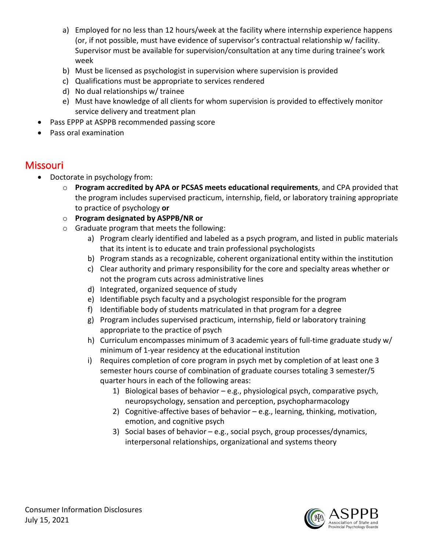- a) Employed for no less than 12 hours/week at the facility where internship experience happens (or, if not possible, must have evidence of supervisor's contractual relationship w/ facility. Supervisor must be available for supervision/consultation at any time during trainee's work week
- b) Must be licensed as psychologist in supervision where supervision is provided
- c) Qualifications must be appropriate to services rendered
- d) No dual relationships w/ trainee
- e) Must have knowledge of all clients for whom supervision is provided to effectively monitor service delivery and treatment plan
- Pass EPPP at ASPPB recommended passing score
- Pass oral examination

### Missouri

- Doctorate in psychology from:
	- o **Program accredited by APA or PCSAS meets educational requirements**, and CPA provided that the program includes supervised practicum, internship, field, or laboratory training appropriate to practice of psychology **or**
	- o **Program designated by ASPPB/NR or**
	- o Graduate program that meets the following:
		- a) Program clearly identified and labeled as a psych program, and listed in public materials that its intent is to educate and train professional psychologists
		- b) Program stands as a recognizable, coherent organizational entity within the institution
		- c) Clear authority and primary responsibility for the core and specialty areas whether or not the program cuts across administrative lines
		- d) Integrated, organized sequence of study
		- e) Identifiable psych faculty and a psychologist responsible for the program
		- f) Identifiable body of students matriculated in that program for a degree
		- g) Program includes supervised practicum, internship, field or laboratory training appropriate to the practice of psych
		- h) Curriculum encompasses minimum of 3 academic years of full-time graduate study w/ minimum of 1-year residency at the educational institution
		- i) Requires completion of core program in psych met by completion of at least one 3 semester hours course of combination of graduate courses totaling 3 semester/5 quarter hours in each of the following areas:
			- 1) Biological bases of behavior e.g., physiological psych, comparative psych, neuropsychology, sensation and perception, psychopharmacology
			- 2) Cognitive-affective bases of behavior e.g., learning, thinking, motivation, emotion, and cognitive psych
			- 3) Social bases of behavior e.g., social psych, group processes/dynamics, interpersonal relationships, organizational and systems theory

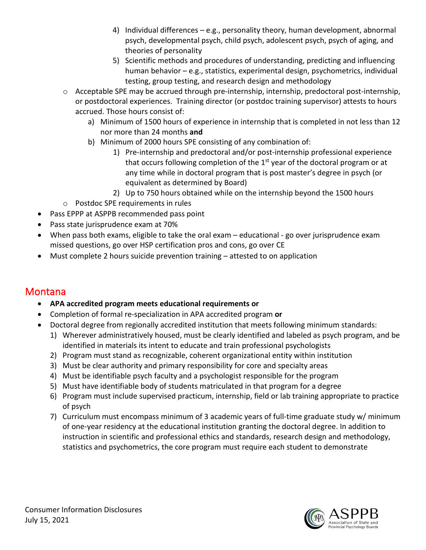- 4) Individual differences e.g., personality theory, human development, abnormal psych, developmental psych, child psych, adolescent psych, psych of aging, and theories of personality
- 5) Scientific methods and procedures of understanding, predicting and influencing human behavior – e.g., statistics, experimental design, psychometrics, individual testing, group testing, and research design and methodology
- o Acceptable SPE may be accrued through pre-internship, internship, predoctoral post-internship, or postdoctoral experiences. Training director (or postdoc training supervisor) attests to hours accrued. Those hours consist of:
	- a) Minimum of 1500 hours of experience in internship that is completed in not less than 12 nor more than 24 months **and**
	- b) Minimum of 2000 hours SPE consisting of any combination of:
		- 1) Pre-internship and predoctoral and/or post-internship professional experience that occurs following completion of the  $1<sup>st</sup>$  year of the doctoral program or at any time while in doctoral program that is post master's degree in psych (or equivalent as determined by Board)
		- 2) Up to 750 hours obtained while on the internship beyond the 1500 hours
- o Postdoc SPE requirements in rules
- Pass EPPP at ASPPB recommended pass point
- Pass state jurisprudence exam at 70%
- When pass both exams, eligible to take the oral exam educational go over jurisprudence exam missed questions, go over HSP certification pros and cons, go over CE
- Must complete 2 hours suicide prevention training attested to on application

### **Montana**

- **APA accredited program meets educational requirements or**
- Completion of formal re-specialization in APA accredited program **or**
- Doctoral degree from regionally accredited institution that meets following minimum standards:
	- 1) Wherever administratively housed, must be clearly identified and labeled as psych program, and be identified in materials its intent to educate and train professional psychologists
	- 2) Program must stand as recognizable, coherent organizational entity within institution
	- 3) Must be clear authority and primary responsibility for core and specialty areas
	- 4) Must be identifiable psych faculty and a psychologist responsible for the program
	- 5) Must have identifiable body of students matriculated in that program for a degree
	- 6) Program must include supervised practicum, internship, field or lab training appropriate to practice of psych
	- 7) Curriculum must encompass minimum of 3 academic years of full-time graduate study w/ minimum of one-year residency at the educational institution granting the doctoral degree. In addition to instruction in scientific and professional ethics and standards, research design and methodology, statistics and psychometrics, the core program must require each student to demonstrate

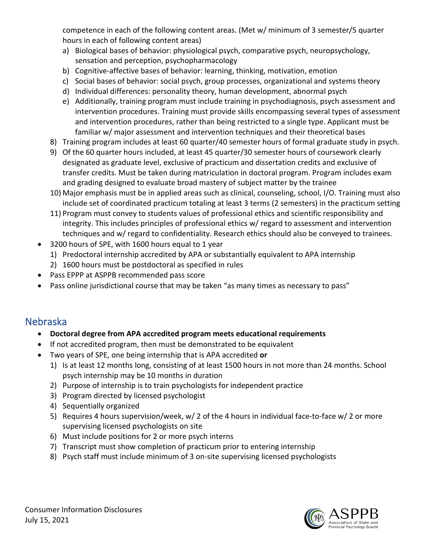competence in each of the following content areas. (Met w/ minimum of 3 semester/5 quarter hours in each of following content areas)

- a) Biological bases of behavior: physiological psych, comparative psych, neuropsychology, sensation and perception, psychopharmacology
- b) Cognitive-affective bases of behavior: learning, thinking, motivation, emotion
- c) Social bases of behavior: social psych, group processes, organizational and systems theory
- d) Individual differences: personality theory, human development, abnormal psych
- e) Additionally, training program must include training in psychodiagnosis, psych assessment and intervention procedures. Training must provide skills encompassing several types of assessment and intervention procedures, rather than being restricted to a single type. Applicant must be familiar w/ major assessment and intervention techniques and their theoretical bases
- 8) Training program includes at least 60 quarter/40 semester hours of formal graduate study in psych.
- 9) Of the 60 quarter hours included, at least 45 quarter/30 semester hours of coursework clearly designated as graduate level, exclusive of practicum and dissertation credits and exclusive of transfer credits. Must be taken during matriculation in doctoral program. Program includes exam and grading designed to evaluate broad mastery of subject matter by the trainee
- 10) Major emphasis must be in applied areas such as clinical, counseling, school, I/O. Training must also include set of coordinated practicum totaling at least 3 terms (2 semesters) in the practicum setting
- 11) Program must convey to students values of professional ethics and scientific responsibility and integrity. This includes principles of professional ethics w/ regard to assessment and intervention techniques and w/ regard to confidentiality. Research ethics should also be conveyed to trainees.
- 3200 hours of SPE, with 1600 hours equal to 1 year
	- 1) Predoctoral internship accredited by APA or substantially equivalent to APA internship
	- 2) 1600 hours must be postdoctoral as specified in rules
- Pass EPPP at ASPPB recommended pass score
- Pass online jurisdictional course that may be taken "as many times as necessary to pass"

#### Nebraska

- **Doctoral degree from APA accredited program meets educational requirements**
- If not accredited program, then must be demonstrated to be equivalent
- Two years of SPE, one being internship that is APA accredited **or**
	- 1) Is at least 12 months long, consisting of at least 1500 hours in not more than 24 months. School psych internship may be 10 months in duration
	- 2) Purpose of internship is to train psychologists for independent practice
	- 3) Program directed by licensed psychologist
	- 4) Sequentially organized
	- 5) Requires 4 hours supervision/week, w/ 2 of the 4 hours in individual face-to-face w/ 2 or more supervising licensed psychologists on site
	- 6) Must include positions for 2 or more psych interns
	- 7) Transcript must show completion of practicum prior to entering internship
	- 8) Psych staff must include minimum of 3 on-site supervising licensed psychologists

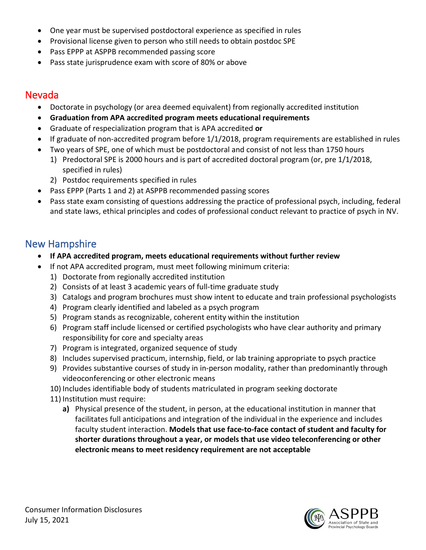- One year must be supervised postdoctoral experience as specified in rules
- Provisional license given to person who still needs to obtain postdoc SPE
- Pass EPPP at ASPPB recommended passing score
- Pass state jurisprudence exam with score of 80% or above

### Nevada

- Doctorate in psychology (or area deemed equivalent) from regionally accredited institution
- **Graduation from APA accredited program meets educational requirements**
- Graduate of respecialization program that is APA accredited **or**
- If graduate of non-accredited program before 1/1/2018, program requirements are established in rules
- Two years of SPE, one of which must be postdoctoral and consist of not less than 1750 hours
	- 1) Predoctoral SPE is 2000 hours and is part of accredited doctoral program (or, pre 1/1/2018, specified in rules)
	- 2) Postdoc requirements specified in rules
- Pass EPPP (Parts 1 and 2) at ASPPB recommended passing scores
- Pass state exam consisting of questions addressing the practice of professional psych, including, federal and state laws, ethical principles and codes of professional conduct relevant to practice of psych in NV.

### New Hampshire

- **If APA accredited program, meets educational requirements without further review**
- If not APA accredited program, must meet following minimum criteria:
	- 1) Doctorate from regionally accredited institution
	- 2) Consists of at least 3 academic years of full-time graduate study
	- 3) Catalogs and program brochures must show intent to educate and train professional psychologists
	- 4) Program clearly identified and labeled as a psych program
	- 5) Program stands as recognizable, coherent entity within the institution
	- 6) Program staff include licensed or certified psychologists who have clear authority and primary responsibility for core and specialty areas
	- 7) Program is integrated, organized sequence of study
	- 8) Includes supervised practicum, internship, field, or lab training appropriate to psych practice
	- 9) Provides substantive courses of study in in-person modality, rather than predominantly through videoconferencing or other electronic means
	- 10) Includes identifiable body of students matriculated in program seeking doctorate
	- 11) Institution must require:
		- **a)** Physical presence of the student, in person, at the educational institution in manner that facilitates full anticipations and integration of the individual in the experience and includes faculty student interaction. **Models that use face-to-face contact of student and faculty for shorter durations throughout a year, or models that use video teleconferencing or other electronic means to meet residency requirement are not acceptable**

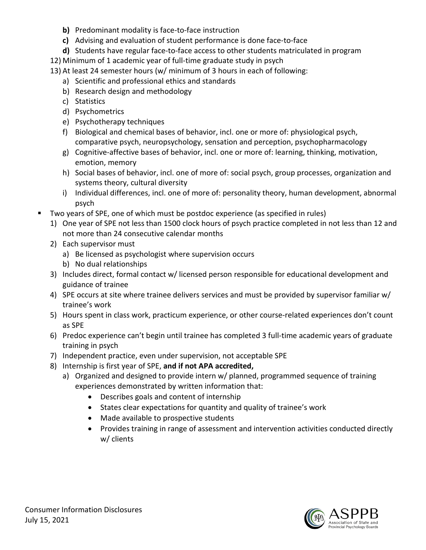- **b)** Predominant modality is face-to-face instruction
- **c)** Advising and evaluation of student performance is done face-to-face
- **d)** Students have regular face-to-face access to other students matriculated in program
- 12) Minimum of 1 academic year of full-time graduate study in psych
- 13) At least 24 semester hours (w/ minimum of 3 hours in each of following:
	- a) Scientific and professional ethics and standards
	- b) Research design and methodology
	- c) Statistics
	- d) Psychometrics
	- e) Psychotherapy techniques
	- f) Biological and chemical bases of behavior, incl. one or more of: physiological psych, comparative psych, neuropsychology, sensation and perception, psychopharmacology
	- g) Cognitive-affective bases of behavior, incl. one or more of: learning, thinking, motivation, emotion, memory
	- h) Social bases of behavior, incl. one of more of: social psych, group processes, organization and systems theory, cultural diversity
	- i) Individual differences, incl. one of more of: personality theory, human development, abnormal psych
- Two years of SPE, one of which must be postdoc experience (as specified in rules)
	- 1) One year of SPE not less than 1500 clock hours of psych practice completed in not less than 12 and not more than 24 consecutive calendar months
	- 2) Each supervisor must
		- a) Be licensed as psychologist where supervision occurs
		- b) No dual relationships
	- 3) Includes direct, formal contact w/ licensed person responsible for educational development and guidance of trainee
	- 4) SPE occurs at site where trainee delivers services and must be provided by supervisor familiar w/ trainee's work
	- 5) Hours spent in class work, practicum experience, or other course-related experiences don't count as SPE
	- 6) Predoc experience can't begin until trainee has completed 3 full-time academic years of graduate training in psych
	- 7) Independent practice, even under supervision, not acceptable SPE
	- 8) Internship is first year of SPE, **and if not APA accredited,**
		- a) Organized and designed to provide intern w/ planned, programmed sequence of training experiences demonstrated by written information that:
			- Describes goals and content of internship
			- States clear expectations for quantity and quality of trainee's work
			- Made available to prospective students
			- Provides training in range of assessment and intervention activities conducted directly w/ clients

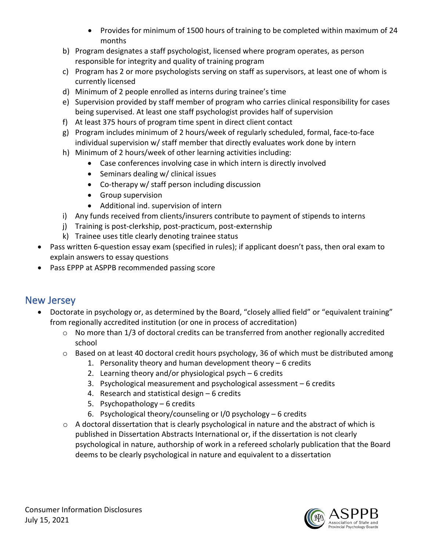- Provides for minimum of 1500 hours of training to be completed within maximum of 24 months
- b) Program designates a staff psychologist, licensed where program operates, as person responsible for integrity and quality of training program
- c) Program has 2 or more psychologists serving on staff as supervisors, at least one of whom is currently licensed
- d) Minimum of 2 people enrolled as interns during trainee's time
- e) Supervision provided by staff member of program who carries clinical responsibility for cases being supervised. At least one staff psychologist provides half of supervision
- f) At least 375 hours of program time spent in direct client contact
- g) Program includes minimum of 2 hours/week of regularly scheduled, formal, face-to-face individual supervision w/ staff member that directly evaluates work done by intern
- h) Minimum of 2 hours/week of other learning activities including:
	- Case conferences involving case in which intern is directly involved
	- Seminars dealing w/ clinical issues
	- Co-therapy w/ staff person including discussion
	- Group supervision
	- Additional ind. supervision of intern
- i) Any funds received from clients/insurers contribute to payment of stipends to interns
- j) Training is post-clerkship, post-practicum, post-externship
- k) Trainee uses title clearly denoting trainee status
- Pass written 6-question essay exam (specified in rules); if applicant doesn't pass, then oral exam to explain answers to essay questions
- Pass EPPP at ASPPB recommended passing score

## New Jersey

- Doctorate in psychology or, as determined by the Board, "closely allied field" or "equivalent training" from regionally accredited institution (or one in process of accreditation)
	- $\circ$  No more than 1/3 of doctoral credits can be transferred from another regionally accredited school
	- $\circ$  Based on at least 40 doctoral credit hours psychology, 36 of which must be distributed among
		- 1. Personality theory and human development theory 6 credits
		- 2. Learning theory and/or physiological psych 6 credits
		- 3. Psychological measurement and psychological assessment 6 credits
		- 4. Research and statistical design 6 credits
		- 5. Psychopathology 6 credits
		- 6. Psychological theory/counseling or I/0 psychology 6 credits
	- $\circ$  A doctoral dissertation that is clearly psychological in nature and the abstract of which is published in Dissertation Abstracts International or, if the dissertation is not clearly psychological in nature, authorship of work in a refereed scholarly publication that the Board deems to be clearly psychological in nature and equivalent to a dissertation

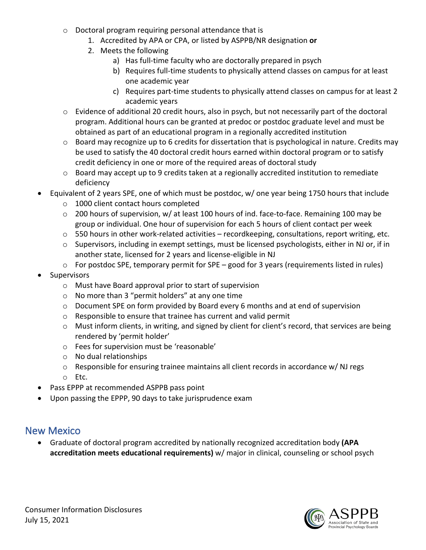- o Doctoral program requiring personal attendance that is
	- 1. Accredited by APA or CPA, or listed by ASPPB/NR designation **or**
	- 2. Meets the following
		- a) Has full-time faculty who are doctorally prepared in psych
		- b) Requires full-time students to physically attend classes on campus for at least one academic year
		- c) Requires part-time students to physically attend classes on campus for at least 2 academic years
- $\circ$  Evidence of additional 20 credit hours, also in psych, but not necessarily part of the doctoral program. Additional hours can be granted at predoc or postdoc graduate level and must be obtained as part of an educational program in a regionally accredited institution
- o Board may recognize up to 6 credits for dissertation that is psychological in nature. Credits may be used to satisfy the 40 doctoral credit hours earned within doctoral program or to satisfy credit deficiency in one or more of the required areas of doctoral study
- o Board may accept up to 9 credits taken at a regionally accredited institution to remediate deficiency
- Equivalent of 2 years SPE, one of which must be postdoc, w/ one year being 1750 hours that include
	- o 1000 client contact hours completed
	- o 200 hours of supervision, w/ at least 100 hours of ind. face-to-face. Remaining 100 may be group or individual. One hour of supervision for each 5 hours of client contact per week
	- $\circ$  550 hours in other work-related activities recordkeeping, consultations, report writing, etc.
	- o Supervisors, including in exempt settings, must be licensed psychologists, either in NJ or, if in another state, licensed for 2 years and license-eligible in NJ
	- o For postdoc SPE, temporary permit for SPE good for 3 years (requirements listed in rules)
- Supervisors
	- o Must have Board approval prior to start of supervision
	- o No more than 3 "permit holders" at any one time
	- o Document SPE on form provided by Board every 6 months and at end of supervision
	- o Responsible to ensure that trainee has current and valid permit
	- $\circ$  Must inform clients, in writing, and signed by client for client's record, that services are being rendered by 'permit holder'
	- o Fees for supervision must be 'reasonable'
	- o No dual relationships
	- o Responsible for ensuring trainee maintains all client records in accordance w/ NJ regs
	- o Etc.
- Pass EPPP at recommended ASPPB pass point
- Upon passing the EPPP, 90 days to take jurisprudence exam

### New Mexico

• Graduate of doctoral program accredited by nationally recognized accreditation body **(APA accreditation meets educational requirements)** w/ major in clinical, counseling or school psych

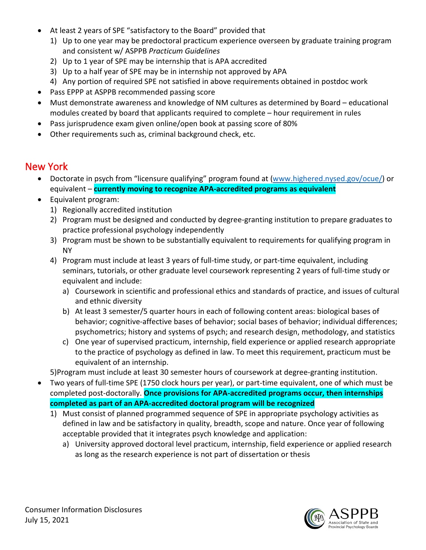- At least 2 years of SPE "satisfactory to the Board" provided that
	- 1) Up to one year may be predoctoral practicum experience overseen by graduate training program and consistent w/ ASPPB *Practicum Guidelines*
	- 2) Up to 1 year of SPE may be internship that is APA accredited
	- 3) Up to a half year of SPE may be in internship not approved by APA
	- 4) Any portion of required SPE not satisfied in above requirements obtained in postdoc work
- Pass EPPP at ASPPB recommended passing score
- Must demonstrate awareness and knowledge of NM cultures as determined by Board educational modules created by board that applicants required to complete – hour requirement in rules
- Pass jurisprudence exam given online/open book at passing score of 80%
- Other requirements such as, criminal background check, etc.

### New York

- Doctorate in psych from "licensure qualifying" program found at [\(www.highered.nysed.gov/ocue/\)](http://www.highered.nysed.gov/ocue/) or equivalent – **currently moving to recognize APA-accredited programs as equivalent**
- Equivalent program:
	- 1) Regionally accredited institution
	- 2) Program must be designed and conducted by degree-granting institution to prepare graduates to practice professional psychology independently
	- 3) Program must be shown to be substantially equivalent to requirements for qualifying program in NY
	- 4) Program must include at least 3 years of full-time study, or part-time equivalent, including seminars, tutorials, or other graduate level coursework representing 2 years of full-time study or equivalent and include:
		- a) Coursework in scientific and professional ethics and standards of practice, and issues of cultural and ethnic diversity
		- b) At least 3 semester/5 quarter hours in each of following content areas: biological bases of behavior; cognitive-affective bases of behavior; social bases of behavior; individual differences; psychometrics; history and systems of psych; and research design, methodology, and statistics
		- c) One year of supervised practicum, internship, field experience or applied research appropriate to the practice of psychology as defined in law. To meet this requirement, practicum must be equivalent of an internship.

5)Program must include at least 30 semester hours of coursework at degree-granting institution.

- Two years of full-time SPE (1750 clock hours per year), or part-time equivalent, one of which must be completed post-doctorally. **Once provisions for APA-accredited programs occur, then internships completed as part of an APA-accredited doctoral program will be recognized**
	- 1) Must consist of planned programmed sequence of SPE in appropriate psychology activities as defined in law and be satisfactory in quality, breadth, scope and nature. Once year of following acceptable provided that it integrates psych knowledge and application:
		- a) University approved doctoral level practicum, internship, field experience or applied research as long as the research experience is not part of dissertation or thesis

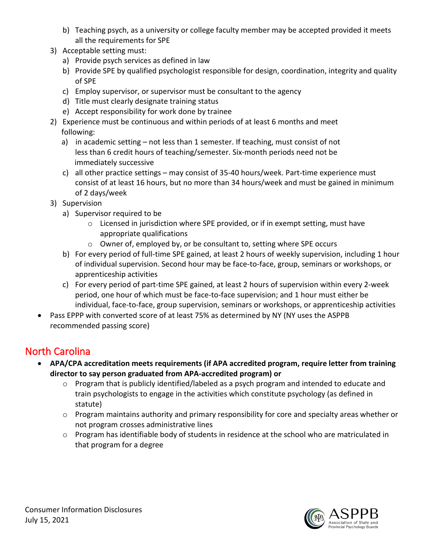- b) Teaching psych, as a university or college faculty member may be accepted provided it meets all the requirements for SPE
- 3) Acceptable setting must:
	- a) Provide psych services as defined in law
	- b) Provide SPE by qualified psychologist responsible for design, coordination, integrity and quality of SPE
	- c) Employ supervisor, or supervisor must be consultant to the agency
	- d) Title must clearly designate training status
	- e) Accept responsibility for work done by trainee
- 2) Experience must be continuous and within periods of at least 6 months and meet following:
	- a) in academic setting not less than 1 semester. If teaching, must consist of not less than 6 credit hours of teaching/semester. Six-month periods need not be immediately successive
	- c) all other practice settings may consist of 35-40 hours/week. Part-time experience must consist of at least 16 hours, but no more than 34 hours/week and must be gained in minimum of 2 days/week
- 3) Supervision
	- a) Supervisor required to be
		- $\circ$  Licensed in jurisdiction where SPE provided, or if in exempt setting, must have appropriate qualifications
		- o Owner of, employed by, or be consultant to, setting where SPE occurs
	- b) For every period of full-time SPE gained, at least 2 hours of weekly supervision, including 1 hour of individual supervision. Second hour may be face-to-face, group, seminars or workshops, or apprenticeship activities
	- c) For every period of part-time SPE gained, at least 2 hours of supervision within every 2-week period, one hour of which must be face-to-face supervision; and 1 hour must either be individual, face-to-face, group supervision, seminars or workshops, or apprenticeship activities
- Pass EPPP with converted score of at least 75% as determined by NY (NY uses the ASPPB recommended passing score)

# North Carolina

- **APA/CPA accreditation meets requirements (if APA accredited program, require letter from training director to say person graduated from APA-accredited program) or**
	- o Program that is publicly identified/labeled as a psych program and intended to educate and train psychologists to engage in the activities which constitute psychology (as defined in statute)
	- $\circ$  Program maintains authority and primary responsibility for core and specialty areas whether or not program crosses administrative lines
	- o Program has identifiable body of students in residence at the school who are matriculated in that program for a degree

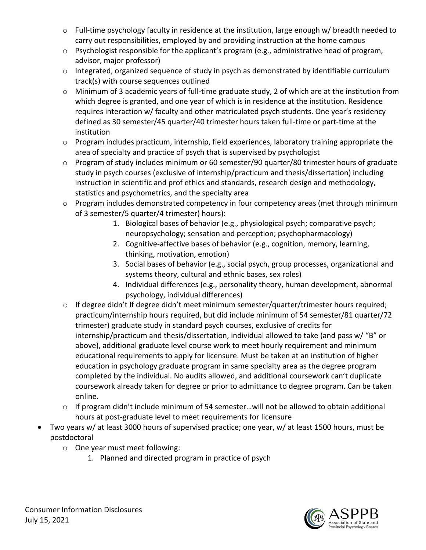- o Full-time psychology faculty in residence at the institution, large enough w/ breadth needed to carry out responsibilities, employed by and providing instruction at the home campus
- o Psychologist responsible for the applicant's program (e.g., administrative head of program, advisor, major professor)
- o Integrated, organized sequence of study in psych as demonstrated by identifiable curriculum track(s) with course sequences outlined
- o Minimum of 3 academic years of full-time graduate study, 2 of which are at the institution from which degree is granted, and one year of which is in residence at the institution. Residence requires interaction w/ faculty and other matriculated psych students. One year's residency defined as 30 semester/45 quarter/40 trimester hours taken full-time or part-time at the institution
- o Program includes practicum, internship, field experiences, laboratory training appropriate the area of specialty and practice of psych that is supervised by psychologist
- o Program of study includes minimum or 60 semester/90 quarter/80 trimester hours of graduate study in psych courses (exclusive of internship/practicum and thesis/dissertation) including instruction in scientific and prof ethics and standards, research design and methodology, statistics and psychometrics, and the specialty area
- o Program includes demonstrated competency in four competency areas (met through minimum of 3 semester/5 quarter/4 trimester) hours):
	- 1. Biological bases of behavior (e.g., physiological psych; comparative psych; neuropsychology; sensation and perception; psychopharmacology)
	- 2. Cognitive-affective bases of behavior (e.g., cognition, memory, learning, thinking, motivation, emotion)
	- 3. Social bases of behavior (e.g., social psych, group processes, organizational and systems theory, cultural and ethnic bases, sex roles)
	- 4. Individual differences (e.g., personality theory, human development, abnormal psychology, individual differences)
- o If degree didn't If degree didn't meet minimum semester/quarter/trimester hours required; practicum/internship hours required, but did include minimum of 54 semester/81 quarter/72 trimester) graduate study in standard psych courses, exclusive of credits for internship/practicum and thesis/dissertation, individual allowed to take (and pass w/ "B" or above), additional graduate level course work to meet hourly requirement and minimum educational requirements to apply for licensure. Must be taken at an institution of higher education in psychology graduate program in same specialty area as the degree program completed by the individual. No audits allowed, and additional coursework can't duplicate coursework already taken for degree or prior to admittance to degree program. Can be taken online.
- o If program didn't include minimum of 54 semester…will not be allowed to obtain additional hours at post-graduate level to meet requirements for licensure
- Two years w/ at least 3000 hours of supervised practice; one year, w/ at least 1500 hours, must be postdoctoral
	- o One year must meet following:
		- 1. Planned and directed program in practice of psych

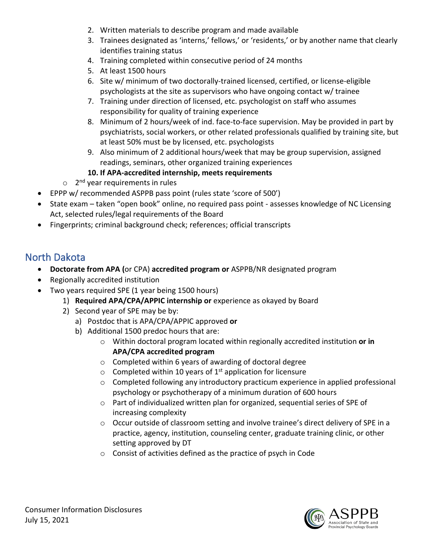- 2. Written materials to describe program and made available
- 3. Trainees designated as 'interns,' fellows,' or 'residents,' or by another name that clearly identifies training status
- 4. Training completed within consecutive period of 24 months
- 5. At least 1500 hours
- 6. Site w/ minimum of two doctorally-trained licensed, certified, or license-eligible psychologists at the site as supervisors who have ongoing contact w/ trainee
- 7. Training under direction of licensed, etc. psychologist on staff who assumes responsibility for quality of training experience
- 8. Minimum of 2 hours/week of ind. face-to-face supervision. May be provided in part by psychiatrists, social workers, or other related professionals qualified by training site, but at least 50% must be by licensed, etc. psychologists
- 9. Also minimum of 2 additional hours/week that may be group supervision, assigned readings, seminars, other organized training experiences
- **10. If APA-accredited internship, meets requirements**
- $\circ$  2<sup>nd</sup> year requirements in rules
- EPPP w/ recommended ASPPB pass point (rules state 'score of 500')
- State exam taken "open book" online, no required pass point assesses knowledge of NC Licensing Act, selected rules/legal requirements of the Board
- Fingerprints; criminal background check; references; official transcripts

# North Dakota

- **Doctorate from APA (**or CPA) **accredited program or** ASPPB/NR designated program
- Regionally accredited institution
- Two years required SPE (1 year being 1500 hours)
	- 1) **Required APA/CPA/APPIC internship or** experience as okayed by Board
	- 2) Second year of SPE may be by:
		- a) Postdoc that is APA/CPA/APPIC approved **or**
		- b) Additional 1500 predoc hours that are:
			- o Within doctoral program located within regionally accredited institution **or in APA/CPA accredited program**
			- o Completed within 6 years of awarding of doctoral degree
			- $\circ$  Completed within 10 years of 1<sup>st</sup> application for licensure
			- $\circ$  Completed following any introductory practicum experience in applied professional psychology or psychotherapy of a minimum duration of 600 hours
			- o Part of individualized written plan for organized, sequential series of SPE of increasing complexity
			- o Occur outside of classroom setting and involve trainee's direct delivery of SPE in a practice, agency, institution, counseling center, graduate training clinic, or other setting approved by DT
			- o Consist of activities defined as the practice of psych in Code

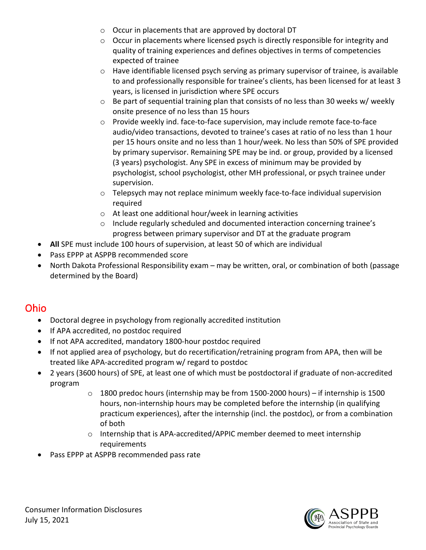- o Occur in placements that are approved by doctoral DT
- $\circ$  Occur in placements where licensed psych is directly responsible for integrity and quality of training experiences and defines objectives in terms of competencies expected of trainee
- $\circ$  Have identifiable licensed psych serving as primary supervisor of trainee, is available to and professionally responsible for trainee's clients, has been licensed for at least 3 years, is licensed in jurisdiction where SPE occurs
- $\circ$  Be part of sequential training plan that consists of no less than 30 weeks w/ weekly onsite presence of no less than 15 hours
- o Provide weekly ind. face-to-face supervision, may include remote face-to-face audio/video transactions, devoted to trainee's cases at ratio of no less than 1 hour per 15 hours onsite and no less than 1 hour/week. No less than 50% of SPE provided by primary supervisor. Remaining SPE may be ind. or group, provided by a licensed (3 years) psychologist. Any SPE in excess of minimum may be provided by psychologist, school psychologist, other MH professional, or psych trainee under supervision.
- o Telepsych may not replace minimum weekly face-to-face individual supervision required
- o At least one additional hour/week in learning activities
- o Include regularly scheduled and documented interaction concerning trainee's progress between primary supervisor and DT at the graduate program
- **All** SPE must include 100 hours of supervision, at least 50 of which are individual
- Pass EPPP at ASPPB recommended score
- North Dakota Professional Responsibility exam may be written, oral, or combination of both (passage determined by the Board)

## Ohio

- Doctoral degree in psychology from regionally accredited institution
- If APA accredited, no postdoc required
- If not APA accredited, mandatory 1800-hour postdoc required
- If not applied area of psychology, but do recertification/retraining program from APA, then will be treated like APA-accredited program w/ regard to postdoc
- 2 years (3600 hours) of SPE, at least one of which must be postdoctoral if graduate of non-accredited program
	- o 1800 predoc hours (internship may be from 1500-2000 hours) if internship is 1500 hours, non-internship hours may be completed before the internship (in qualifying practicum experiences), after the internship (incl. the postdoc), or from a combination of both
	- $\circ$  Internship that is APA-accredited/APPIC member deemed to meet internship requirements
- Pass EPPP at ASPPB recommended pass rate

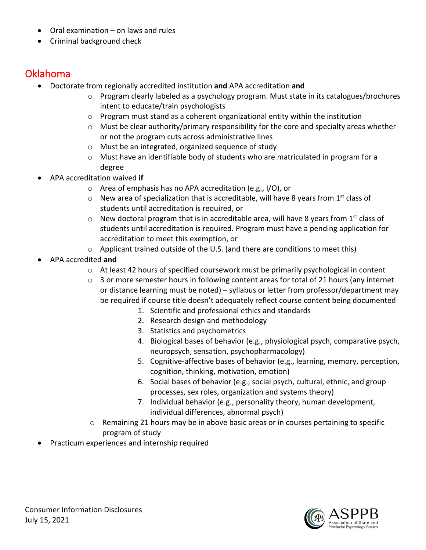- Oral examination on laws and rules
- Criminal background check

### Oklahoma

- Doctorate from regionally accredited institution **and** APA accreditation **and**
	- o Program clearly labeled as a psychology program. Must state in its catalogues/brochures intent to educate/train psychologists
	- $\circ$  Program must stand as a coherent organizational entity within the institution
	- $\circ$  Must be clear authority/primary responsibility for the core and specialty areas whether or not the program cuts across administrative lines
	- o Must be an integrated, organized sequence of study
	- $\circ$  Must have an identifiable body of students who are matriculated in program for a degree
- APA accreditation waived **if**
	- o Area of emphasis has no APA accreditation (e.g., I/O), or
	- $\circ$  New area of specialization that is accreditable, will have 8 years from 1<sup>st</sup> class of students until accreditation is required, or
	- $\circ$  New doctoral program that is in accreditable area, will have 8 years from 1<sup>st</sup> class of students until accreditation is required. Program must have a pending application for accreditation to meet this exemption, or
	- $\circ$  Applicant trained outside of the U.S. (and there are conditions to meet this)
- APA accredited **and**
	- o At least 42 hours of specified coursework must be primarily psychological in content
	- $\circ$  3 or more semester hours in following content areas for total of 21 hours (any internet or distance learning must be noted) – syllabus or letter from professor/department may be required if course title doesn't adequately reflect course content being documented
		- 1. Scientific and professional ethics and standards
		- 2. Research design and methodology
		- 3. Statistics and psychometrics
		- 4. Biological bases of behavior (e.g., physiological psych, comparative psych, neuropsych, sensation, psychopharmacology)
		- 5. Cognitive-affective bases of behavior (e.g., learning, memory, perception, cognition, thinking, motivation, emotion)
		- 6. Social bases of behavior (e.g., social psych, cultural, ethnic, and group processes, sex roles, organization and systems theory)
		- 7. Individual behavior (e.g., personality theory, human development, individual differences, abnormal psych)
	- o Remaining 21 hours may be in above basic areas or in courses pertaining to specific program of study
- Practicum experiences and internship required

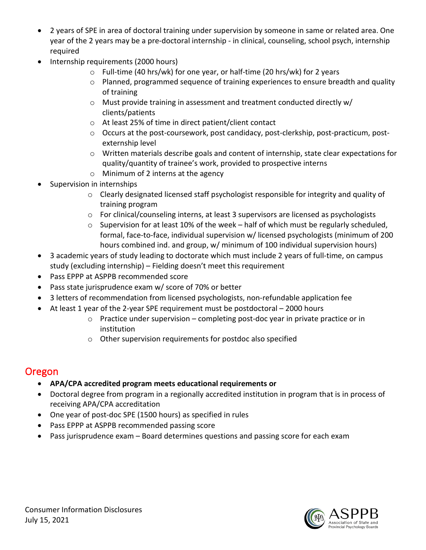- 2 years of SPE in area of doctoral training under supervision by someone in same or related area. One year of the 2 years may be a pre-doctoral internship - in clinical, counseling, school psych, internship required
- Internship requirements (2000 hours)
	- o Full-time (40 hrs/wk) for one year, or half-time (20 hrs/wk) for 2 years
	- o Planned, programmed sequence of training experiences to ensure breadth and quality of training
	- o Must provide training in assessment and treatment conducted directly w/ clients/patients
	- o At least 25% of time in direct patient/client contact
	- o Occurs at the post-coursework, post candidacy, post-clerkship, post-practicum, postexternship level
	- o Written materials describe goals and content of internship, state clear expectations for quality/quantity of trainee's work, provided to prospective interns
	- o Minimum of 2 interns at the agency
- Supervision in internships
	- o Clearly designated licensed staff psychologist responsible for integrity and quality of training program
	- o For clinical/counseling interns, at least 3 supervisors are licensed as psychologists
	- o Supervision for at least 10% of the week half of which must be regularly scheduled, formal, face-to-face, individual supervision w/ licensed psychologists (minimum of 200 hours combined ind. and group, w/ minimum of 100 individual supervision hours)
- 3 academic years of study leading to doctorate which must include 2 years of full-time, on campus study (excluding internship) – Fielding doesn't meet this requirement
- Pass EPPP at ASPPB recommended score
- Pass state jurisprudence exam w/ score of 70% or better
- 3 letters of recommendation from licensed psychologists, non-refundable application fee
- At least 1 year of the 2-year SPE requirement must be postdoctoral 2000 hours
	- $\circ$  Practice under supervision completing post-doc year in private practice or in institution
	- o Other supervision requirements for postdoc also specified

### Oregon

- **APA/CPA accredited program meets educational requirements or**
- Doctoral degree from program in a regionally accredited institution in program that is in process of receiving APA/CPA accreditation
- One year of post-doc SPE (1500 hours) as specified in rules
- Pass EPPP at ASPPB recommended passing score
- Pass jurisprudence exam Board determines questions and passing score for each exam

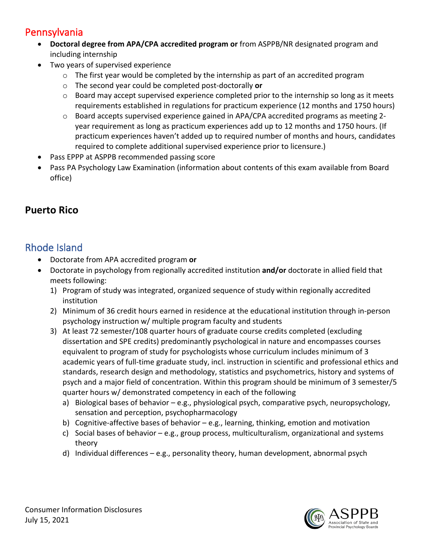### Pennsylvania

- **Doctoral degree from APA/CPA accredited program or** from ASPPB/NR designated program and including internship
- Two years of supervised experience
	- $\circ$  The first year would be completed by the internship as part of an accredited program
	- o The second year could be completed post-doctorally **or**
	- $\circ$  Board may accept supervised experience completed prior to the internship so long as it meets requirements established in regulations for practicum experience (12 months and 1750 hours)
	- $\circ$  Board accepts supervised experience gained in APA/CPA accredited programs as meeting 2year requirement as long as practicum experiences add up to 12 months and 1750 hours. (If practicum experiences haven't added up to required number of months and hours, candidates required to complete additional supervised experience prior to licensure.)
- Pass EPPP at ASPPB recommended passing score
- Pass PA Psychology Law Examination (information about contents of this exam available from Board office)

### **Puerto Rico**

### Rhode Island

- Doctorate from APA accredited program **or**
- Doctorate in psychology from regionally accredited institution **and/or** doctorate in allied field that meets following:
	- 1) Program of study was integrated, organized sequence of study within regionally accredited institution
	- 2) Minimum of 36 credit hours earned in residence at the educational institution through in-person psychology instruction w/ multiple program faculty and students
	- 3) At least 72 semester/108 quarter hours of graduate course credits completed (excluding dissertation and SPE credits) predominantly psychological in nature and encompasses courses equivalent to program of study for psychologists whose curriculum includes minimum of 3 academic years of full-time graduate study, incl. instruction in scientific and professional ethics and standards, research design and methodology, statistics and psychometrics, history and systems of psych and a major field of concentration. Within this program should be minimum of 3 semester/5 quarter hours w/ demonstrated competency in each of the following
		- a) Biological bases of behavior e.g., physiological psych, comparative psych, neuropsychology, sensation and perception, psychopharmacology
		- b) Cognitive-affective bases of behavior e.g., learning, thinking, emotion and motivation
		- c) Social bases of behavior e.g., group process, multiculturalism, organizational and systems theory
		- d) Individual differences e.g., personality theory, human development, abnormal psych

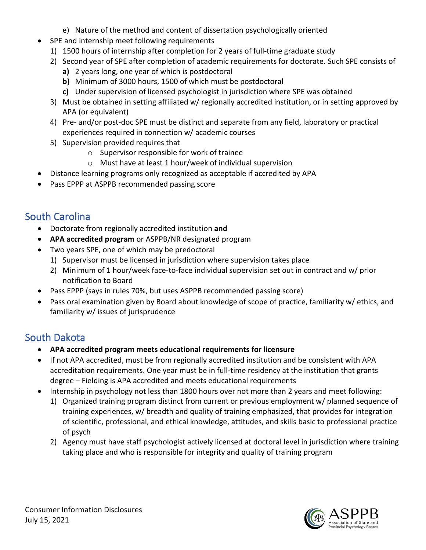- e) Nature of the method and content of dissertation psychologically oriented
- SPE and internship meet following requirements
	- 1) 1500 hours of internship after completion for 2 years of full-time graduate study
	- 2) Second year of SPE after completion of academic requirements for doctorate. Such SPE consists of
		- **a)** 2 years long, one year of which is postdoctoral
		- **b)** Minimum of 3000 hours, 1500 of which must be postdoctoral
		- **c)** Under supervision of licensed psychologist in jurisdiction where SPE was obtained
	- 3) Must be obtained in setting affiliated w/ regionally accredited institution, or in setting approved by APA (or equivalent)
	- 4) Pre- and/or post-doc SPE must be distinct and separate from any field, laboratory or practical experiences required in connection w/ academic courses
	- 5) Supervision provided requires that
		- o Supervisor responsible for work of trainee
		- o Must have at least 1 hour/week of individual supervision
- Distance learning programs only recognized as acceptable if accredited by APA
- Pass EPPP at ASPPB recommended passing score

# South Carolina

- Doctorate from regionally accredited institution **and**
- **APA accredited program** or ASPPB/NR designated program
- Two years SPE, one of which may be predoctoral
	- 1) Supervisor must be licensed in jurisdiction where supervision takes place
	- 2) Minimum of 1 hour/week face-to-face individual supervision set out in contract and w/ prior notification to Board
- Pass EPPP (says in rules 70%, but uses ASPPB recommended passing score)
- Pass oral examination given by Board about knowledge of scope of practice, familiarity w/ ethics, and familiarity w/ issues of jurisprudence

## South Dakota

- **APA accredited program meets educational requirements for licensure**
- If not APA accredited, must be from regionally accredited institution and be consistent with APA accreditation requirements. One year must be in full-time residency at the institution that grants degree – Fielding is APA accredited and meets educational requirements
- Internship in psychology not less than 1800 hours over not more than 2 years and meet following:
	- 1) Organized training program distinct from current or previous employment w/ planned sequence of training experiences, w/ breadth and quality of training emphasized, that provides for integration of scientific, professional, and ethical knowledge, attitudes, and skills basic to professional practice of psych
	- 2) Agency must have staff psychologist actively licensed at doctoral level in jurisdiction where training taking place and who is responsible for integrity and quality of training program

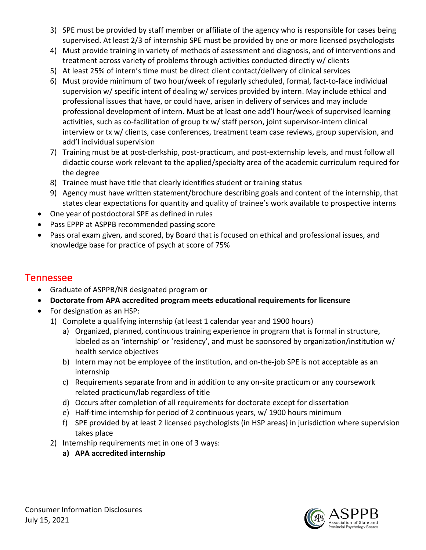- 3) SPE must be provided by staff member or affiliate of the agency who is responsible for cases being supervised. At least 2/3 of internship SPE must be provided by one or more licensed psychologists
- 4) Must provide training in variety of methods of assessment and diagnosis, and of interventions and treatment across variety of problems through activities conducted directly w/ clients
- 5) At least 25% of intern's time must be direct client contact/delivery of clinical services
- 6) Must provide minimum of two hour/week of regularly scheduled, formal, fact-to-face individual supervision w/ specific intent of dealing w/ services provided by intern. May include ethical and professional issues that have, or could have, arisen in delivery of services and may include professional development of intern. Must be at least one add'l hour/week of supervised learning activities, such as co-facilitation of group tx w/ staff person, joint supervisor-intern clinical interview or tx w/ clients, case conferences, treatment team case reviews, group supervision, and add'l individual supervision
- 7) Training must be at post-clerkship, post-practicum, and post-externship levels, and must follow all didactic course work relevant to the applied/specialty area of the academic curriculum required for the degree
- 8) Trainee must have title that clearly identifies student or training status
- 9) Agency must have written statement/brochure describing goals and content of the internship, that states clear expectations for quantity and quality of trainee's work available to prospective interns
- One year of postdoctoral SPE as defined in rules
- Pass EPPP at ASPPB recommended passing score
- Pass oral exam given, and scored, by Board that is focused on ethical and professional issues, and knowledge base for practice of psych at score of 75%

### Tennessee

- Graduate of ASPPB/NR designated program **or**
- **Doctorate from APA accredited program meets educational requirements for licensure**
- For designation as an HSP:
	- 1) Complete a qualifying internship (at least 1 calendar year and 1900 hours)
		- a) Organized, planned, continuous training experience in program that is formal in structure, labeled as an 'internship' or 'residency', and must be sponsored by organization/institution w/ health service objectives
		- b) Intern may not be employee of the institution, and on-the-job SPE is not acceptable as an internship
		- c) Requirements separate from and in addition to any on-site practicum or any coursework related practicum/lab regardless of title
		- d) Occurs after completion of all requirements for doctorate except for dissertation
		- e) Half-time internship for period of 2 continuous years, w/ 1900 hours minimum
		- f) SPE provided by at least 2 licensed psychologists (in HSP areas) in jurisdiction where supervision takes place
	- 2) Internship requirements met in one of 3 ways:
		- **a) APA accredited internship**

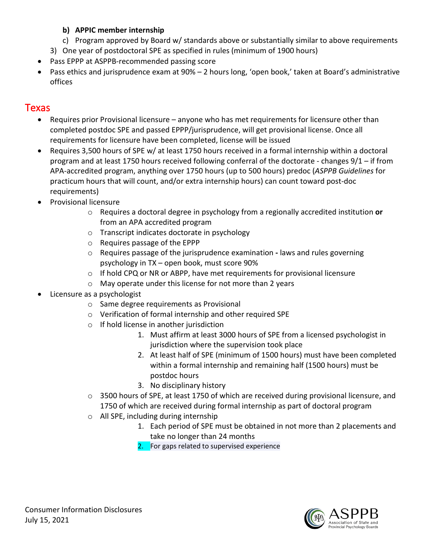#### **b) APPIC member internship**

- c) Program approved by Board w/ standards above or substantially similar to above requirements
- 3) One year of postdoctoral SPE as specified in rules (minimum of 1900 hours)
- Pass EPPP at ASPPB-recommended passing score
- Pass ethics and jurisprudence exam at  $90\%$  2 hours long, 'open book,' taken at Board's administrative offices

### **Texas**

- Requires prior Provisional licensure anyone who has met requirements for licensure other than completed postdoc SPE and passed EPPP/jurisprudence, will get provisional license. Once all requirements for licensure have been completed, license will be issued
- Requires 3,500 hours of SPE w/ at least 1750 hours received in a formal internship within a doctoral program and at least 1750 hours received following conferral of the doctorate - changes 9/1 – if from APA-accredited program, anything over 1750 hours (up to 500 hours) predoc (*ASPPB Guidelines* for practicum hours that will count, and/or extra internship hours) can count toward post-doc requirements)
- Provisional licensure
	- o Requires a doctoral degree in psychology from a regionally accredited institution **or**  from an APA accredited program
	- o Transcript indicates doctorate in psychology
	- o Requires passage of the EPPP
	- o Requires passage of the jurisprudence examination **-** laws and rules governing psychology in TX – open book, must score 90%
	- o If hold CPQ or NR or ABPP, have met requirements for provisional licensure
	- o May operate under this license for not more than 2 years
- Licensure as a psychologist
	- o Same degree requirements as Provisional
	- o Verification of formal internship and other required SPE
	- o If hold license in another jurisdiction
		- 1. Must affirm at least 3000 hours of SPE from a licensed psychologist in jurisdiction where the supervision took place
		- 2. At least half of SPE (minimum of 1500 hours) must have been completed within a formal internship and remaining half (1500 hours) must be postdoc hours
		- 3. No disciplinary history
	- $\circ$  3500 hours of SPE, at least 1750 of which are received during provisional licensure, and 1750 of which are received during formal internship as part of doctoral program
	- o All SPE, including during internship
		- 1. Each period of SPE must be obtained in not more than 2 placements and take no longer than 24 months
		- 2. For gaps related to supervised experience

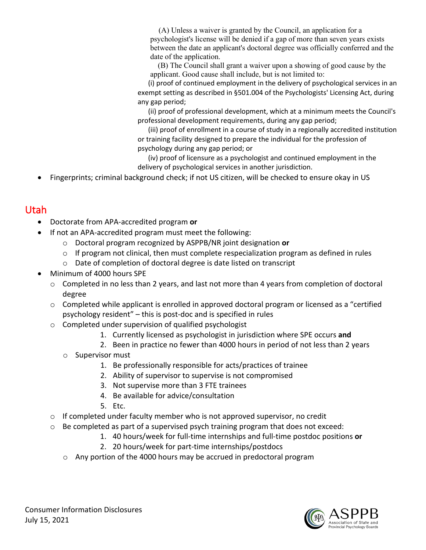(A) Unless a waiver is granted by the Council, an application for a psychologist's license will be denied if a gap of more than seven years exists between the date an applicant's doctoral degree was officially conferred and the date of the application.

 (B) The Council shall grant a waiver upon a showing of good cause by the applicant. Good cause shall include, but is not limited to:

 (i) proof of continued employment in the delivery of psychological services in an exempt setting as described in §501.004 of the Psychologists' Licensing Act, during any gap period;

 (ii) proof of professional development, which at a minimum meets the Council's professional development requirements, during any gap period;

 (iii) proof of enrollment in a course of study in a regionally accredited institution or training facility designed to prepare the individual for the profession of psychology during any gap period; or

 (iv) proof of licensure as a psychologist and continued employment in the delivery of psychological services in another jurisdiction.

• Fingerprints; criminal background check; if not US citizen, will be checked to ensure okay in US

## Utah

- Doctorate from APA-accredited program **or**
- If not an APA-accredited program must meet the following:
	- o Doctoral program recognized by ASPPB/NR joint designation **or**
	- $\circ$  If program not clinical, then must complete respecialization program as defined in rules
	- o Date of completion of doctoral degree is date listed on transcript
- Minimum of 4000 hours SPE
	- $\circ$  Completed in no less than 2 years, and last not more than 4 years from completion of doctoral degree
	- $\circ$  Completed while applicant is enrolled in approved doctoral program or licensed as a "certified psychology resident" – this is post-doc and is specified in rules
	- o Completed under supervision of qualified psychologist
		- 1. Currently licensed as psychologist in jurisdiction where SPE occurs **and**
		- 2. Been in practice no fewer than 4000 hours in period of not less than 2 years
		- o Supervisor must
			- 1. Be professionally responsible for acts/practices of trainee
			- 2. Ability of supervisor to supervise is not compromised
			- 3. Not supervise more than 3 FTE trainees
			- 4. Be available for advice/consultation
			- 5. Etc.
	- o If completed under faculty member who is not approved supervisor, no credit
	- $\circ$  Be completed as part of a supervised psych training program that does not exceed:
		- 1. 40 hours/week for full-time internships and full-time postdoc positions **or**
		- 2. 20 hours/week for part-time internships/postdocs
		- o Any portion of the 4000 hours may be accrued in predoctoral program

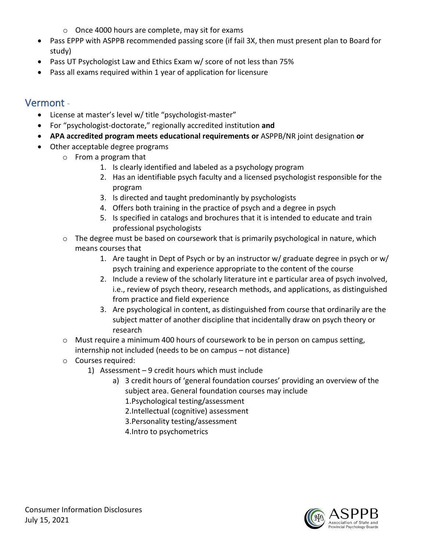- o Once 4000 hours are complete, may sit for exams
- Pass EPPP with ASPPB recommended passing score (if fail 3X, then must present plan to Board for study)
- Pass UT Psychologist Law and Ethics Exam w/ score of not less than 75%
- Pass all exams required within 1 year of application for licensure

#### Vermont -

- License at master's level w/ title "psychologist-master"
- For "psychologist-doctorate," regionally accredited institution **and**
- **APA accredited program meets educational requirements or** ASPPB/NR joint designation **or**
- Other acceptable degree programs
	- o From a program that
		- 1. Is clearly identified and labeled as a psychology program
		- 2. Has an identifiable psych faculty and a licensed psychologist responsible for the program
		- 3. Is directed and taught predominantly by psychologists
		- 4. Offers both training in the practice of psych and a degree in psych
		- 5. Is specified in catalogs and brochures that it is intended to educate and train professional psychologists
	- $\circ$  The degree must be based on coursework that is primarily psychological in nature, which means courses that
		- 1. Are taught in Dept of Psych or by an instructor w/ graduate degree in psych or w/ psych training and experience appropriate to the content of the course
		- 2. Include a review of the scholarly literature int e particular area of psych involved, i.e., review of psych theory, research methods, and applications, as distinguished from practice and field experience
		- 3. Are psychological in content, as distinguished from course that ordinarily are the subject matter of another discipline that incidentally draw on psych theory or research
	- o Must require a minimum 400 hours of coursework to be in person on campus setting, internship not included (needs to be on campus – not distance)
	- o Courses required:
		- 1) Assessment 9 credit hours which must include
			- a) 3 credit hours of 'general foundation courses' providing an overview of the subject area. General foundation courses may include
				- 1.Psychological testing/assessment
				- 2.Intellectual (cognitive) assessment
				- 3.Personality testing/assessment
				- 4.Intro to psychometrics

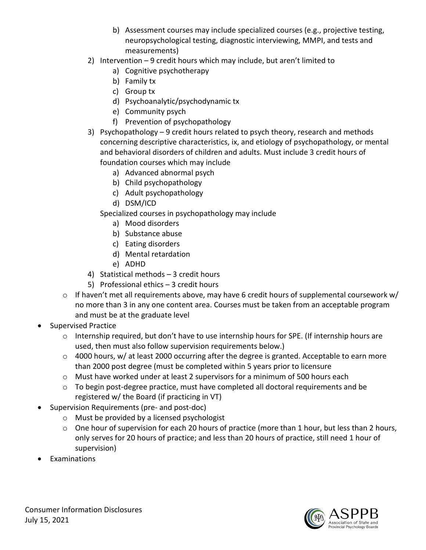- b) Assessment courses may include specialized courses (e.g., projective testing, neuropsychological testing, diagnostic interviewing, MMPI, and tests and measurements)
- 2) Intervention 9 credit hours which may include, but aren't limited to
	- a) Cognitive psychotherapy
	- b) Family tx
	- c) Group tx
	- d) Psychoanalytic/psychodynamic tx
	- e) Community psych
	- f) Prevention of psychopathology
- 3) Psychopathology 9 credit hours related to psych theory, research and methods concerning descriptive characteristics, ix, and etiology of psychopathology, or mental and behavioral disorders of children and adults. Must include 3 credit hours of foundation courses which may include
	- a) Advanced abnormal psych
	- b) Child psychopathology
	- c) Adult psychopathology
	- d) DSM/ICD

Specialized courses in psychopathology may include

- a) Mood disorders
- b) Substance abuse
- c) Eating disorders
- d) Mental retardation
- e) ADHD
- 4) Statistical methods 3 credit hours
- 5) Professional ethics 3 credit hours
- $\circ$  If haven't met all requirements above, may have 6 credit hours of supplemental coursework w/ no more than 3 in any one content area. Courses must be taken from an acceptable program and must be at the graduate level
- Supervised Practice
	- o Internship required, but don't have to use internship hours for SPE. (If internship hours are used, then must also follow supervision requirements below.)
	- $\circ$  4000 hours, w/ at least 2000 occurring after the degree is granted. Acceptable to earn more than 2000 post degree (must be completed within 5 years prior to licensure
	- o Must have worked under at least 2 supervisors for a minimum of 500 hours each
	- $\circ$  To begin post-degree practice, must have completed all doctoral requirements and be registered w/ the Board (if practicing in VT)
- Supervision Requirements (pre- and post-doc)
	- o Must be provided by a licensed psychologist
	- $\circ$  One hour of supervision for each 20 hours of practice (more than 1 hour, but less than 2 hours, only serves for 20 hours of practice; and less than 20 hours of practice, still need 1 hour of supervision)
- **Examinations**

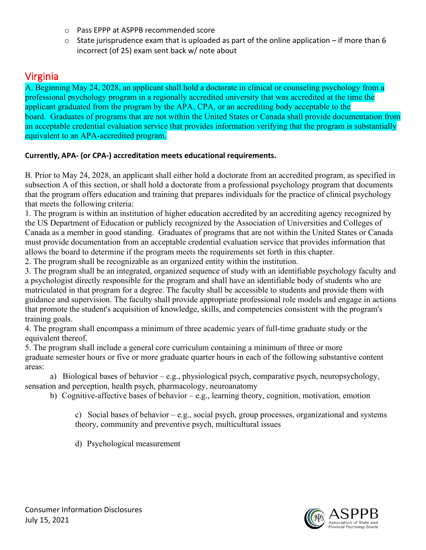- o Pass EPPP at ASPPB recommended score
- $\circ$  State jurisprudence exam that is uploaded as part of the online application if more than 6 incorrect (of 25) exam sent back w/ note about

### Virginia

A. Beginning May 24, 2028, an applicant shall hold a doctorate in clinical or counseling psychology from a professional psychology program in a regionally accredited university that was accredited at the time the applicant graduated from the program by the APA, CPA, or an accrediting body acceptable to the board. Graduates of programs that are not within the United States or Canada shall provide documentation from an acceptable credential evaluation service that provides information verifying that the program is substantially equivalent to an APA-accredited program.

#### **Currently, APA- (or CPA-) accreditation meets educational requirements.**

B. Prior to May 24, 2028, an applicant shall either hold a doctorate from an accredited program, as specified in subsection A of this section, or shall hold a doctorate from a professional psychology program that documents that the program offers education and training that prepares individuals for the practice of clinical psychology that meets the following criteria:

1. The program is within an institution of higher education accredited by an accrediting agency recognized by the US Department of Education or publicly recognized by the Association of Universities and Colleges of Canada as a member in good standing. Graduates of programs that are not within the United States or Canada must provide documentation from an acceptable credential evaluation service that provides information that allows the board to determine if the program meets the requirements set forth in this chapter.

2. The program shall be recognizable as an organized entity within the institution.

3. The program shall be an integrated, organized sequence of study with an identifiable psychology faculty and a psychologist directly responsible for the program and shall have an identifiable body of students who are matriculated in that program for a degree. The faculty shall be accessible to students and provide them with guidance and supervision. The faculty shall provide appropriate professional role models and engage in actions that promote the student's acquisition of knowledge, skills, and competencies consistent with the program's training goals.

4. The program shall encompass a minimum of three academic years of full-time graduate study or the equivalent thereof.

5. The program shall include a general core curriculum containing a minimum of three or more graduate semester hours or five or more graduate quarter hours in each of the following substantive content areas:

a) Biological bases of behavior – e.g., physiological psych, comparative psych, neuropsychology, sensation and perception, health psych, pharmacology, neuroanatomy

b) Cognitive-affective bases of behavior – e.g., learning theory, cognition, motivation, emotion

c) Social bases of behavior – e.g., social psych, group processes, organizational and systems theory, community and preventive psych, multicultural issues

d) Psychological measurement

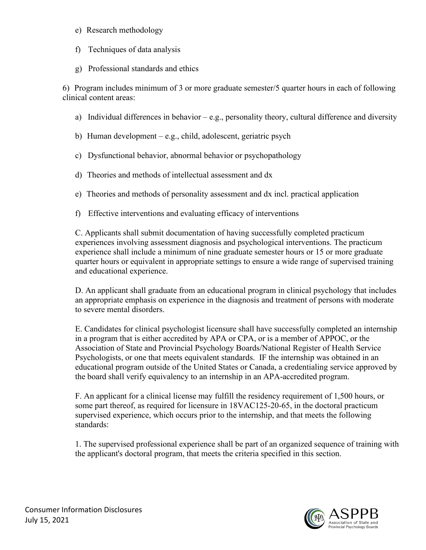#### e) Research methodology

- f) Techniques of data analysis
- g) Professional standards and ethics

6) Program includes minimum of 3 or more graduate semester/5 quarter hours in each of following clinical content areas:

a) Individual differences in behavior – e.g., personality theory, cultural difference and diversity

b) Human development – e.g., child, adolescent, geriatric psych

- c) Dysfunctional behavior, abnormal behavior or psychopathology
- d) Theories and methods of intellectual assessment and dx
- e) Theories and methods of personality assessment and dx incl. practical application
- f) Effective interventions and evaluating efficacy of interventions

C. Applicants shall submit documentation of having successfully completed practicum experiences involving assessment diagnosis and psychological interventions. The practicum experience shall include a minimum of nine graduate semester hours or 15 or more graduate quarter hours or equivalent in appropriate settings to ensure a wide range of supervised training and educational experience.

D. An applicant shall graduate from an educational program in clinical psychology that includes an appropriate emphasis on experience in the diagnosis and treatment of persons with moderate to severe mental disorders.

E. Candidates for clinical psychologist licensure shall have successfully completed an internship in a program that is either accredited by APA or CPA, or is a member of APPOC, or the Association of State and Provincial Psychology Boards/National Register of Health Service Psychologists, or one that meets equivalent standards. IF the internship was obtained in an educational program outside of the United States or Canada, a credentialing service approved by the board shall verify equivalency to an internship in an APA-accredited program.

F. An applicant for a clinical license may fulfill the residency requirement of 1,500 hours, or some part thereof, as required for licensure in 18VAC125-20-65, in the doctoral practicum supervised experience, which occurs prior to the internship, and that meets the following standards:

1. The supervised professional experience shall be part of an organized sequence of training with the applicant's doctoral program, that meets the criteria specified in this section.

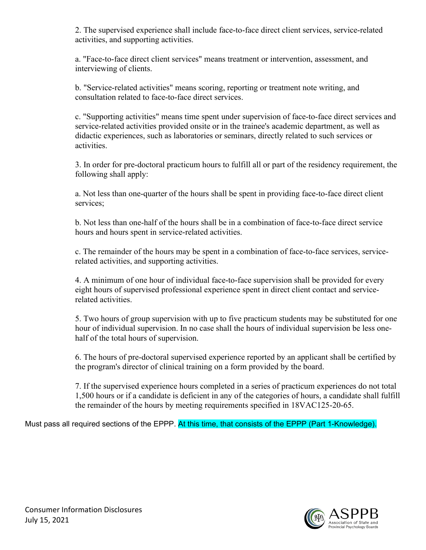2. The supervised experience shall include face-to-face direct client services, service-related activities, and supporting activities.

a. "Face-to-face direct client services" means treatment or intervention, assessment, and interviewing of clients.

b. "Service-related activities" means scoring, reporting or treatment note writing, and consultation related to face-to-face direct services.

c. "Supporting activities" means time spent under supervision of face-to-face direct services and service-related activities provided onsite or in the trainee's academic department, as well as didactic experiences, such as laboratories or seminars, directly related to such services or activities.

3. In order for pre-doctoral practicum hours to fulfill all or part of the residency requirement, the following shall apply:

a. Not less than one-quarter of the hours shall be spent in providing face-to-face direct client services;

b. Not less than one-half of the hours shall be in a combination of face-to-face direct service hours and hours spent in service-related activities.

c. The remainder of the hours may be spent in a combination of face-to-face services, servicerelated activities, and supporting activities.

4. A minimum of one hour of individual face-to-face supervision shall be provided for every eight hours of supervised professional experience spent in direct client contact and servicerelated activities.

5. Two hours of group supervision with up to five practicum students may be substituted for one hour of individual supervision. In no case shall the hours of individual supervision be less onehalf of the total hours of supervision.

6. The hours of pre-doctoral supervised experience reported by an applicant shall be certified by the program's director of clinical training on a form provided by the board.

7. If the supervised experience hours completed in a series of practicum experiences do not total 1,500 hours or if a candidate is deficient in any of the categories of hours, a candidate shall fulfill the remainder of the hours by meeting requirements specified in 18VAC125-20-65.

Must pass all required sections of the EPPP. At this time, that consists of the EPPP (Part 1-Knowledge).

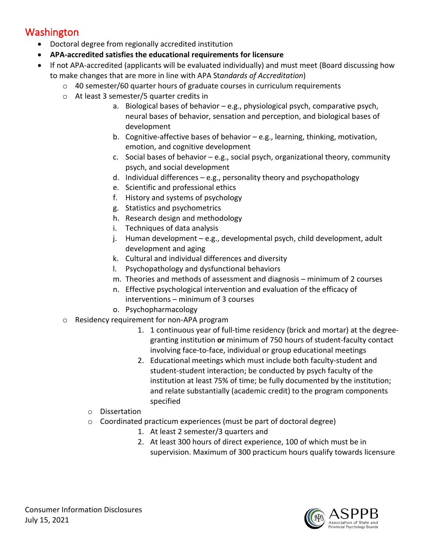### Washington

- Doctoral degree from regionally accredited institution
- **APA-accredited satisfies the educational requirements for licensure**
- If not APA-accredited (applicants will be evaluated individually) and must meet (Board discussing how to make changes that are more in line with APA St*andards of Accreditation*)
	- $\circ$  40 semester/60 quarter hours of graduate courses in curriculum requirements
	- o At least 3 semester/5 quarter credits in
		- a. Biological bases of behavior e.g., physiological psych, comparative psych, neural bases of behavior, sensation and perception, and biological bases of development
		- b. Cognitive-affective bases of behavior e.g., learning, thinking, motivation, emotion, and cognitive development
		- c. Social bases of behavior e.g., social psych, organizational theory, community psych, and social development
		- d. Individual differences e.g., personality theory and psychopathology
		- e. Scientific and professional ethics
		- f. History and systems of psychology
		- g. Statistics and psychometrics
		- h. Research design and methodology
		- i. Techniques of data analysis
		- j. Human development e.g., developmental psych, child development, adult development and aging
		- k. Cultural and individual differences and diversity
		- l. Psychopathology and dysfunctional behaviors
		- m. Theories and methods of assessment and diagnosis minimum of 2 courses
		- n. Effective psychological intervention and evaluation of the efficacy of interventions – minimum of 3 courses
		- o. Psychopharmacology
	- o Residency requirement for non-APA program
		- 1. 1 continuous year of full-time residency (brick and mortar) at the degreegranting institution **or** minimum of 750 hours of student-faculty contact involving face-to-face, individual or group educational meetings
		- 2. Educational meetings which must include both faculty-student and student-student interaction; be conducted by psych faculty of the institution at least 75% of time; be fully documented by the institution; and relate substantially (academic credit) to the program components specified
		- o Dissertation
		- $\circ$  Coordinated practicum experiences (must be part of doctoral degree)
			- 1. At least 2 semester/3 quarters and
			- 2. At least 300 hours of direct experience, 100 of which must be in supervision. Maximum of 300 practicum hours qualify towards licensure

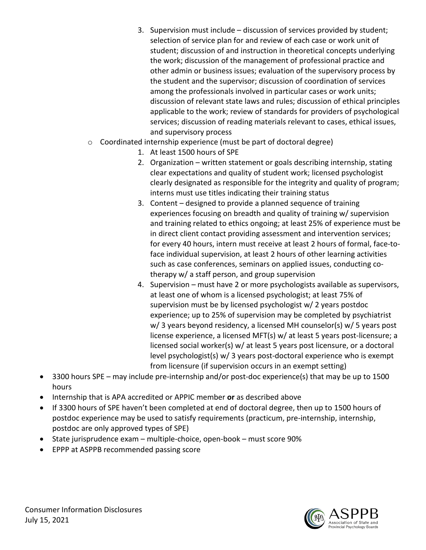- 3. Supervision must include discussion of services provided by student; selection of service plan for and review of each case or work unit of student; discussion of and instruction in theoretical concepts underlying the work; discussion of the management of professional practice and other admin or business issues; evaluation of the supervisory process by the student and the supervisor; discussion of coordination of services among the professionals involved in particular cases or work units; discussion of relevant state laws and rules; discussion of ethical principles applicable to the work; review of standards for providers of psychological services; discussion of reading materials relevant to cases, ethical issues, and supervisory process
- o Coordinated internship experience (must be part of doctoral degree)
	- 1. At least 1500 hours of SPE
	- 2. Organization written statement or goals describing internship, stating clear expectations and quality of student work; licensed psychologist clearly designated as responsible for the integrity and quality of program; interns must use titles indicating their training status
	- 3. Content designed to provide a planned sequence of training experiences focusing on breadth and quality of training w/ supervision and training related to ethics ongoing; at least 25% of experience must be in direct client contact providing assessment and intervention services; for every 40 hours, intern must receive at least 2 hours of formal, face-toface individual supervision, at least 2 hours of other learning activities such as case conferences, seminars on applied issues, conducting cotherapy w/ a staff person, and group supervision
	- 4. Supervision must have 2 or more psychologists available as supervisors, at least one of whom is a licensed psychologist; at least 75% of supervision must be by licensed psychologist w/ 2 years postdoc experience; up to 25% of supervision may be completed by psychiatrist w/ 3 years beyond residency, a licensed MH counselor(s) w/ 5 years post license experience, a licensed MFT(s) w/ at least 5 years post-licensure; a licensed social worker(s) w/ at least 5 years post licensure, or a doctoral level psychologist(s) w/ 3 years post-doctoral experience who is exempt from licensure (if supervision occurs in an exempt setting)
- 3300 hours SPE may include pre-internship and/or post-doc experience(s) that may be up to 1500 hours
- Internship that is APA accredited or APPIC member **or** as described above
- If 3300 hours of SPE haven't been completed at end of doctoral degree, then up to 1500 hours of postdoc experience may be used to satisfy requirements (practicum, pre-internship, internship, postdoc are only approved types of SPE)
- State jurisprudence exam multiple-choice, open-book must score 90%
- EPPP at ASPPB recommended passing score

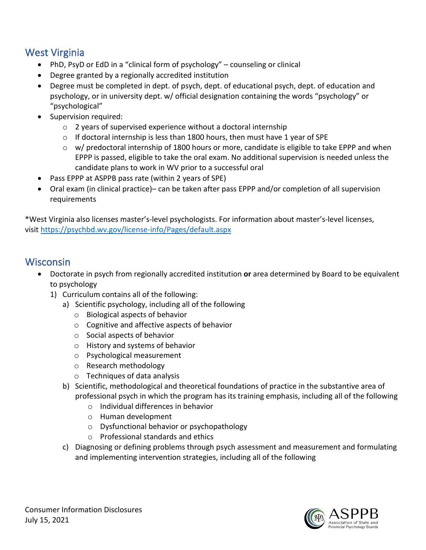## West Virginia

- PhD, PsyD or EdD in a "clinical form of psychology" counseling or clinical
- Degree granted by a regionally accredited institution
- Degree must be completed in dept. of psych, dept. of educational psych, dept. of education and psychology, or in university dept. w/ official designation containing the words "psychology" or "psychological"
- Supervision required:
	- o 2 years of supervised experience without a doctoral internship
	- $\circ$  If doctoral internship is less than 1800 hours, then must have 1 year of SPE
	- o w/ predoctoral internship of 1800 hours or more, candidate is eligible to take EPPP and when EPPP is passed, eligible to take the oral exam. No additional supervision is needed unless the candidate plans to work in WV prior to a successful oral
- Pass EPPP at ASPPB pass rate (within 2 years of SPE)
- Oral exam (in clinical practice)– can be taken after pass EPPP and/or completion of all supervision requirements

\*West Virginia also licenses master's-level psychologists. For information about master's-level licenses, visit <https://psychbd.wv.gov/license-info/Pages/default.aspx>

#### **Wisconsin**

- Doctorate in psych from regionally accredited institution **or** area determined by Board to be equivalent to psychology
	- 1) Curriculum contains all of the following:
		- a) Scientific psychology, including all of the following
			- o Biological aspects of behavior
			- o Cognitive and affective aspects of behavior
			- o Social aspects of behavior
			- o History and systems of behavior
			- o Psychological measurement
			- o Research methodology
			- o Techniques of data analysis
		- b) Scientific, methodological and theoretical foundations of practice in the substantive area of professional psych in which the program has its training emphasis, including all of the following
			- o Individual differences in behavior
			- o Human development
			- o Dysfunctional behavior or psychopathology
			- o Professional standards and ethics
		- c) Diagnosing or defining problems through psych assessment and measurement and formulating and implementing intervention strategies, including all of the following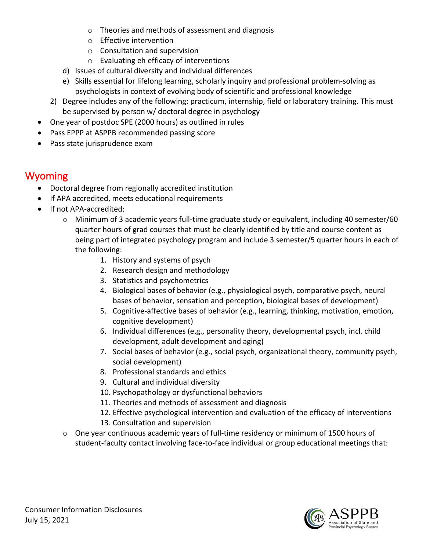- o Theories and methods of assessment and diagnosis
- o Effective intervention
- o Consultation and supervision
- o Evaluating eh efficacy of interventions
- d) Issues of cultural diversity and individual differences
- e) Skills essential for lifelong learning, scholarly inquiry and professional problem-solving as psychologists in context of evolving body of scientific and professional knowledge
- 2) Degree includes any of the following: practicum, internship, field or laboratory training. This must be supervised by person w/ doctoral degree in psychology
- One year of postdoc SPE (2000 hours) as outlined in rules
- Pass EPPP at ASPPB recommended passing score
- Pass state jurisprudence exam

# Wyoming

- Doctoral degree from regionally accredited institution
- If APA accredited, meets educational requirements
- If not APA-accredited:
	- o Minimum of 3 academic years full-time graduate study or equivalent, including 40 semester/60 quarter hours of grad courses that must be clearly identified by title and course content as being part of integrated psychology program and include 3 semester/5 quarter hours in each of the following:
		- 1. History and systems of psych
		- 2. Research design and methodology
		- 3. Statistics and psychometrics
		- 4. Biological bases of behavior (e.g., physiological psych, comparative psych, neural bases of behavior, sensation and perception, biological bases of development)
		- 5. Cognitive-affective bases of behavior (e.g., learning, thinking, motivation, emotion, cognitive development)
		- 6. Individual differences (e.g., personality theory, developmental psych, incl. child development, adult development and aging)
		- 7. Social bases of behavior (e.g., social psych, organizational theory, community psych, social development)
		- 8. Professional standards and ethics
		- 9. Cultural and individual diversity
		- 10. Psychopathology or dysfunctional behaviors
		- 11. Theories and methods of assessment and diagnosis
		- 12. Effective psychological intervention and evaluation of the efficacy of interventions
		- 13. Consultation and supervision
	- $\circ$  One year continuous academic years of full-time residency or minimum of 1500 hours of student-faculty contact involving face-to-face individual or group educational meetings that: